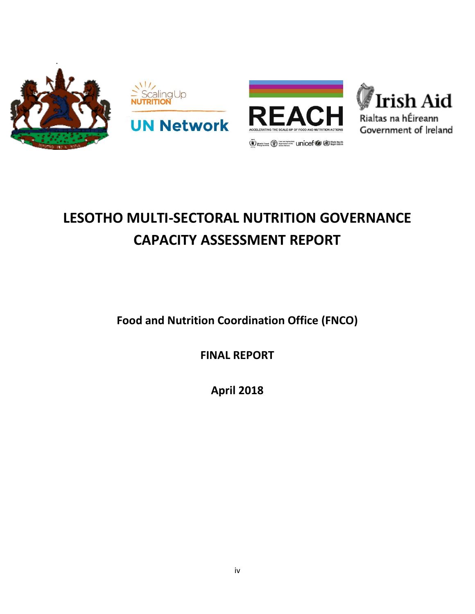





# **LESOTHO MULTI-SECTORAL NUTRITION GOVERNANCE CAPACITY ASSESSMENT REPORT**

**Food and Nutrition Coordination Office (FNCO)**

**FINAL REPORT**

**April 2018**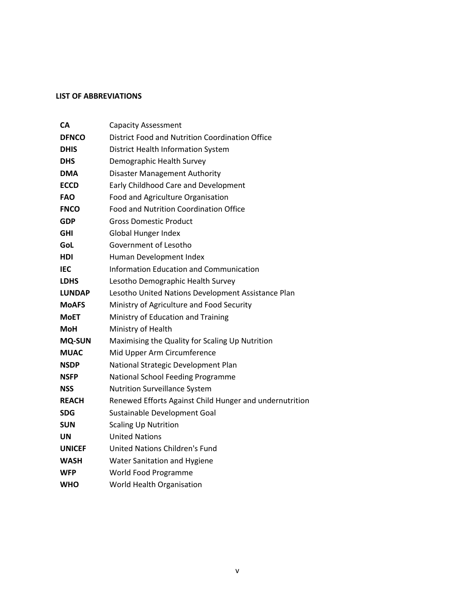## <span id="page-1-0"></span>**LIST OF ABBREVIATIONS**

| CА            | <b>Capacity Assessment</b>                              |
|---------------|---------------------------------------------------------|
| <b>DFNCO</b>  | District Food and Nutrition Coordination Office         |
| DHIS          | <b>District Health Information System</b>               |
| DHS           | Demographic Health Survey                               |
| DMA           | <b>Disaster Management Authority</b>                    |
| <b>ECCD</b>   | Early Childhood Care and Development                    |
| <b>FAO</b>    | Food and Agriculture Organisation                       |
| <b>FNCO</b>   | Food and Nutrition Coordination Office                  |
| <b>GDP</b>    | <b>Gross Domestic Product</b>                           |
| GHI           | <b>Global Hunger Index</b>                              |
| GoL           | Government of Lesotho                                   |
| HDI           | Human Development Index                                 |
| IEC           | <b>Information Education and Communication</b>          |
| <b>LDHS</b>   | Lesotho Demographic Health Survey                       |
| LUNDAP        | Lesotho United Nations Development Assistance Plan      |
| MoAFS         | Ministry of Agriculture and Food Security               |
| <b>MoET</b>   | Ministry of Education and Training                      |
| MoH           | Ministry of Health                                      |
| <b>MQ-SUN</b> | Maximising the Quality for Scaling Up Nutrition         |
| <b>MUAC</b>   | Mid Upper Arm Circumference                             |
| <b>NSDP</b>   | National Strategic Development Plan                     |
| <b>NSFP</b>   | <b>National School Feeding Programme</b>                |
| NSS           | <b>Nutrition Surveillance System</b>                    |
| <b>REACH</b>  | Renewed Efforts Against Child Hunger and undernutrition |
| SDG           | Sustainable Development Goal                            |
| SUN           | <b>Scaling Up Nutrition</b>                             |
| UN            | <b>United Nations</b>                                   |
| <b>UNICEF</b> | <b>United Nations Children's Fund</b>                   |
| <b>WASH</b>   | <b>Water Sanitation and Hygiene</b>                     |
| WFP           | World Food Programme                                    |
| WHO           | World Health Organisation                               |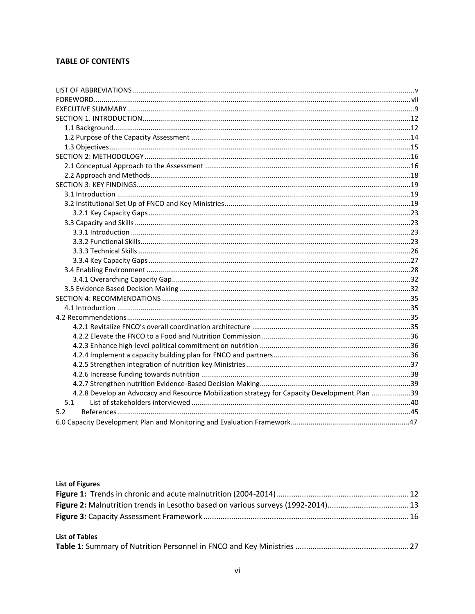# **TABLE OF CONTENTS**

| 4.2.8 Develop an Advocacy and Resource Mobilization strategy for Capacity Development Plan 39 |  |
|-----------------------------------------------------------------------------------------------|--|
| 5.1                                                                                           |  |
| 5.2                                                                                           |  |
|                                                                                               |  |

# **List of Figures**

| <b>List of Tables</b> |  |
|-----------------------|--|
|                       |  |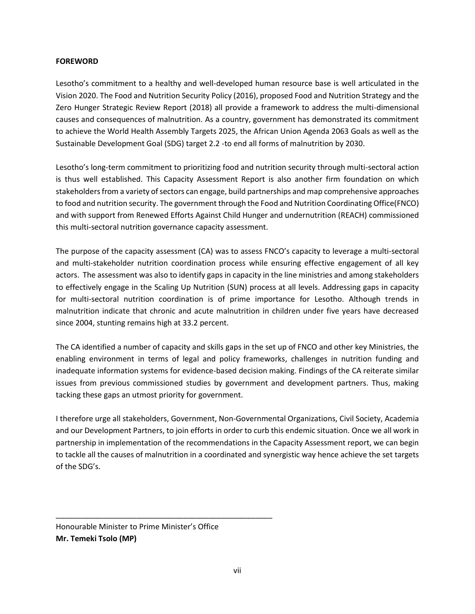## <span id="page-3-0"></span>**FOREWORD**

Lesotho's commitment to a healthy and well-developed human resource base is well articulated in the Vision 2020. The Food and Nutrition Security Policy (2016), proposed Food and Nutrition Strategy and the Zero Hunger Strategic Review Report (2018) all provide a framework to address the multi-dimensional causes and consequences of malnutrition. As a country, government has demonstrated its commitment to achieve the World Health Assembly Targets 2025, the African Union Agenda 2063 Goals as well as the Sustainable Development Goal (SDG) target 2.2 -to end all forms of malnutrition by 2030.

Lesotho's long-term commitment to prioritizing food and nutrition security through multi-sectoral action is thus well established. This Capacity Assessment Report is also another firm foundation on which stakeholders from a variety of sectors can engage, build partnerships and map comprehensive approaches to food and nutrition security. The government through the Food and Nutrition Coordinating Office(FNCO) and with support from Renewed Efforts Against Child Hunger and undernutrition (REACH) commissioned this multi-sectoral nutrition governance capacity assessment.

The purpose of the capacity assessment (CA) was to assess FNCO's capacity to leverage a multi-sectoral and multi-stakeholder nutrition coordination process while ensuring effective engagement of all key actors. The assessment was also to identify gaps in capacity in the line ministries and among stakeholders to effectively engage in the Scaling Up Nutrition (SUN) process at all levels. Addressing gaps in capacity for multi-sectoral nutrition coordination is of prime importance for Lesotho. Although trends in malnutrition indicate that chronic and acute malnutrition in children under five years have decreased since 2004, stunting remains high at 33.2 percent.

The CA identified a number of capacity and skills gaps in the set up of FNCO and other key Ministries, the enabling environment in terms of legal and policy frameworks, challenges in nutrition funding and inadequate information systems for evidence-based decision making. Findings of the CA reiterate similar issues from previous commissioned studies by government and development partners. Thus, making tacking these gaps an utmost priority for government.

I therefore urge all stakeholders, Government, Non-Governmental Organizations, Civil Society, Academia and our Development Partners, to join efforts in order to curb this endemic situation. Once we all work in partnership in implementation of the recommendations in the Capacity Assessment report, we can begin to tackle all the causes of malnutrition in a coordinated and synergistic way hence achieve the set targets of the SDG's.

\_\_\_\_\_\_\_\_\_\_\_\_\_\_\_\_\_\_\_\_\_\_\_\_\_\_\_\_\_\_\_\_\_\_\_\_\_\_\_\_\_\_\_\_\_\_\_\_\_\_\_

Honourable Minister to Prime Minister's Office **Mr. Temeki Tsolo (MP)**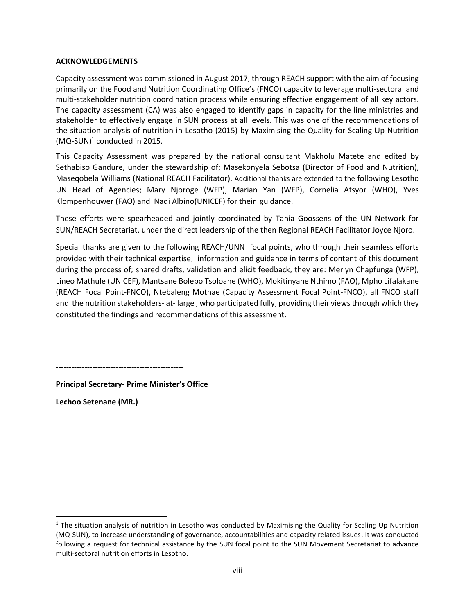#### **ACKNOWLEDGEMENTS**

Capacity assessment was commissioned in August 2017, through REACH support with the aim of focusing primarily on the Food and Nutrition Coordinating Office's (FNCO) capacity to leverage multi-sectoral and multi-stakeholder nutrition coordination process while ensuring effective engagement of all key actors. The capacity assessment (CA) was also engaged to identify gaps in capacity for the line ministries and stakeholder to effectively engage in SUN process at all levels. This was one of the recommendations of the situation analysis of nutrition in Lesotho (2015) by Maximising the Quality for Scaling Up Nutrition  $(MQ-SUN)^1$  conducted in 2015.

This Capacity Assessment was prepared by the national consultant Makholu Matete and edited by Sethabiso Gandure, under the stewardship of; Masekonyela Sebotsa (Director of Food and Nutrition), Maseqobela Williams (National REACH Facilitator). Additional thanks are extended to the following Lesotho UN Head of Agencies; Mary Njoroge (WFP), Marian Yan (WFP), Cornelia Atsyor (WHO), Yves Klompenhouwer (FAO) and Nadi Albino(UNICEF) for their guidance.

These efforts were spearheaded and jointly coordinated by Tania Goossens of the UN Network for SUN/REACH Secretariat, under the direct leadership of the then Regional REACH Facilitator Joyce Njoro.

Special thanks are given to the following REACH/UNN focal points, who through their seamless efforts provided with their technical expertise, information and guidance in terms of content of this document during the process of; shared drafts, validation and elicit feedback, they are: Merlyn Chapfunga (WFP), Lineo Mathule (UNICEF), Mantsane Bolepo Tsoloane (WHO), Mokitinyane Nthimo (FAO), Mpho Lifalakane (REACH Focal Point-FNCO), Ntebaleng Mothae (Capacity Assessment Focal Point-FNCO), all FNCO staff and the nutrition stakeholders- at- large , who participated fully, providing their viewsthrough which they constituted the findings and recommendations of this assessment.

**-------------------------------------------------**

**Principal Secretary- Prime Minister's Office**

**Lechoo Setenane (MR.)**

l

 $1$  The situation analysis of nutrition in Lesotho was conducted by Maximising the Quality for Scaling Up Nutrition (MQ-SUN), to increase understanding of governance, accountabilities and capacity related issues. It was conducted following a request for technical assistance by the SUN focal point to the SUN Movement Secretariat to advance multi-sectoral nutrition efforts in Lesotho.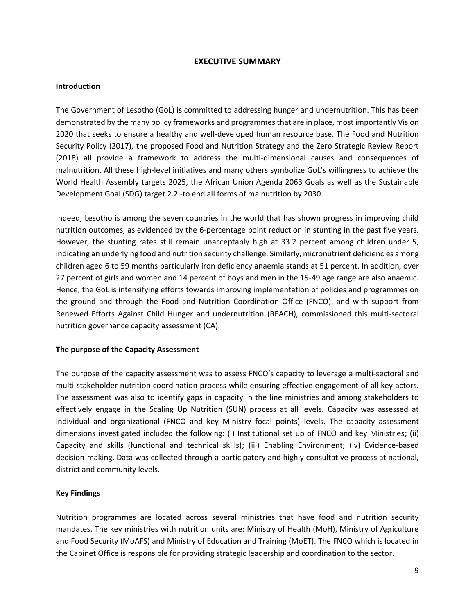## **EXECUTIVE SUMMARY**

#### <span id="page-5-0"></span>**Introduction**

The Government of Lesotho (GoL) is committed to addressing hunger and undernutrition. This has been demonstrated by the many policy frameworks and programmes that are in place, most importantly Vision 2020 that seeks to ensure a healthy and well-developed human resource base. The Food and Nutrition Security Policy (2017), the proposed Food and Nutrition Strategy and the Zero Strategic Review Report (2018) all provide a framework to address the multi-dimensional causes and consequences of malnutrition. All these high-level initiatives and many others symbolize GoL's willingness to achieve the World Health Assembly targets 2025, the African Union Agenda 2063 Goals as well as the Sustainable Development Goal (SDG) target 2.2 -to end all forms of malnutrition by 2030.

Indeed, Lesotho is among the seven countries in the world that has shown progress in improving child nutrition outcomes, as evidenced by the 6-percentage point reduction in stunting in the past five years. However, the stunting rates still remain unacceptably high at 33.2 percent among children under 5, indicating an underlying food and nutrition security challenge. Similarly, micronutrient deficiencies among children aged 6 to 59 months particularly iron deficiency anaemia stands at 51 percent. In addition, over 27 percent of girls and women and 14 percent of boys and men in the 15-49 age range are also anaemic. Hence, the GoL is intensifying efforts towards improving implementation of policies and programmes on the ground and through the Food and Nutrition Coordination Office (FNCO), and with support from Renewed Efforts Against Child Hunger and undernutrition (REACH), commissioned this multi-sectoral nutrition governance capacity assessment (CA).

## **The purpose of the Capacity Assessment**

The purpose of the capacity assessment was to assess FNCO's capacity to leverage a multi-sectoral and multi-stakeholder nutrition coordination process while ensuring effective engagement of all key actors. The assessment was also to identify gaps in capacity in the line ministries and among stakeholders to effectively engage in the Scaling Up Nutrition (SUN) process at all levels. Capacity was assessed at individual and organizational (FNCO and key Ministry focal points) levels. The capacity assessment dimensions investigated included the following: (i) Institutional set up of FNCO and key Ministries; (ii) Capacity and skills (functional and technical skills); (iii) Enabling Environment; (iv) Evidence-based decision-making. Data was collected through a participatory and highly consultative process at national, district and community levels.

## **Key Findings**

Nutrition programmes are located across several ministries that have food and nutrition security mandates. The key ministries with nutrition units are: Ministry of Health (MoH), Ministry of Agriculture and Food Security (MoAFS) and Ministry of Education and Training (MoET). The FNCO which is located in the Cabinet Office is responsible for providing strategic leadership and coordination to the sector.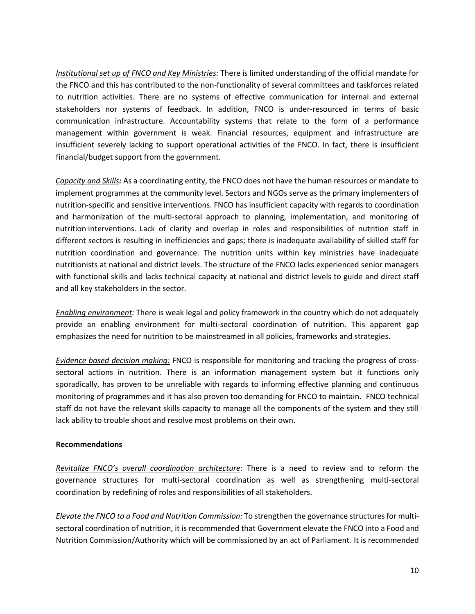*Institutional set up of FNCO and Key Ministries:* There is limited understanding of the official mandate for the FNCO and this has contributed to the non-functionality of several committees and taskforces related to nutrition activities. There are no systems of effective communication for internal and external stakeholders nor systems of feedback. In addition, FNCO is under-resourced in terms of basic communication infrastructure. Accountability systems that relate to the form of a performance management within government is weak. Financial resources, equipment and infrastructure are insufficient severely lacking to support operational activities of the FNCO. In fact, there is insufficient financial/budget support from the government.

*Capacity and Skills:* As a coordinating entity, the FNCO does not have the human resources or mandate to implement programmes at the community level. Sectors and NGOs serve as the primary implementers of nutrition-specific and sensitive interventions. FNCO has insufficient capacity with regards to coordination and harmonization of the multi-sectoral approach to planning, implementation, and monitoring of nutrition interventions. Lack of clarity and overlap in roles and responsibilities of nutrition staff in different sectors is resulting in inefficiencies and gaps; there is inadequate availability of skilled staff for nutrition coordination and governance. The nutrition units within key ministries have inadequate nutritionists at national and district levels. The structure of the FNCO lacks experienced senior managers with functional skills and lacks technical capacity at national and district levels to guide and direct staff and all key stakeholders in the sector.

*Enabling environment:* There is weak legal and policy framework in the country which do not adequately provide an enabling environment for multi-sectoral coordination of nutrition. This apparent gap emphasizes the need for nutrition to be mainstreamed in all policies, frameworks and strategies.

*Evidence based decision making:* FNCO is responsible for monitoring and tracking the progress of crosssectoral actions in nutrition. There is an information management system but it functions only sporadically, has proven to be unreliable with regards to informing effective planning and continuous monitoring of programmes and it has also proven too demanding for FNCO to maintain. FNCO technical staff do not have the relevant skills capacity to manage all the components of the system and they still lack ability to trouble shoot and resolve most problems on their own.

## **Recommendations**

*Revitalize FNCO's overall coordination architecture:* There is a need to review and to reform the governance structures for multi-sectoral coordination as well as strengthening multi-sectoral coordination by redefining of roles and responsibilities of all stakeholders.

*Elevate the FNCO to a Food and Nutrition Commission:* To strengthen the governance structures for multisectoral coordination of nutrition, it is recommended that Government elevate the FNCO into a Food and Nutrition Commission/Authority which will be commissioned by an act of Parliament. It is recommended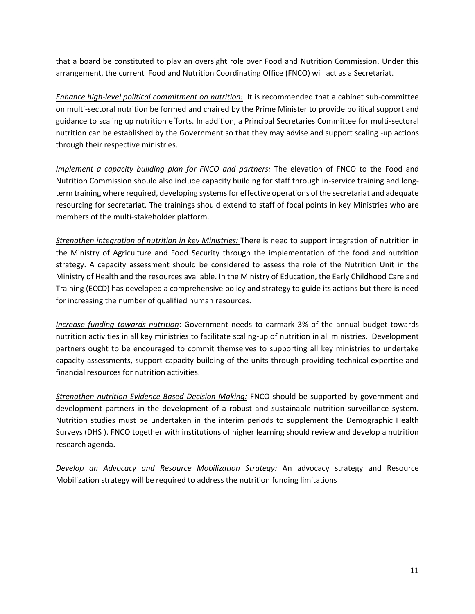that a board be constituted to play an oversight role over Food and Nutrition Commission. Under this arrangement, the current Food and Nutrition Coordinating Office (FNCO) will act as a Secretariat.

*Enhance high-level political commitment on nutrition:* It is recommended that a cabinet sub-committee on multi-sectoral nutrition be formed and chaired by the Prime Minister to provide political support and guidance to scaling up nutrition efforts. In addition, a Principal Secretaries Committee for multi-sectoral nutrition can be established by the Government so that they may advise and support scaling -up actions through their respective ministries.

*Implement a capacity building plan for FNCO and partners:* The elevation of FNCO to the Food and Nutrition Commission should also include capacity building for staff through in-service training and longterm training where required, developing systems for effective operations of the secretariat and adequate resourcing for secretariat. The trainings should extend to staff of focal points in key Ministries who are members of the multi-stakeholder platform.

*Strengthen integration of nutrition in key Ministries:* There is need to support integration of nutrition in the Ministry of Agriculture and Food Security through the implementation of the food and nutrition strategy. A capacity assessment should be considered to assess the role of the Nutrition Unit in the Ministry of Health and the resources available. In the Ministry of Education, the Early Childhood Care and Training (ECCD) has developed a comprehensive policy and strategy to guide its actions but there is need for increasing the number of qualified human resources.

*Increase funding towards nutrition*: Government needs to earmark 3% of the annual budget towards nutrition activities in all key ministries to facilitate scaling-up of nutrition in all ministries. Development partners ought to be encouraged to commit themselves to supporting all key ministries to undertake capacity assessments, support capacity building of the units through providing technical expertise and financial resources for nutrition activities.

*Strengthen nutrition Evidence-Based Decision Making:* FNCO should be supported by government and development partners in the development of a robust and sustainable nutrition surveillance system. Nutrition studies must be undertaken in the interim periods to supplement the Demographic Health Surveys (DHS ). FNCO together with institutions of higher learning should review and develop a nutrition research agenda.

*Develop an Advocacy and Resource Mobilization Strategy:* An advocacy strategy and Resource Mobilization strategy will be required to address the nutrition funding limitations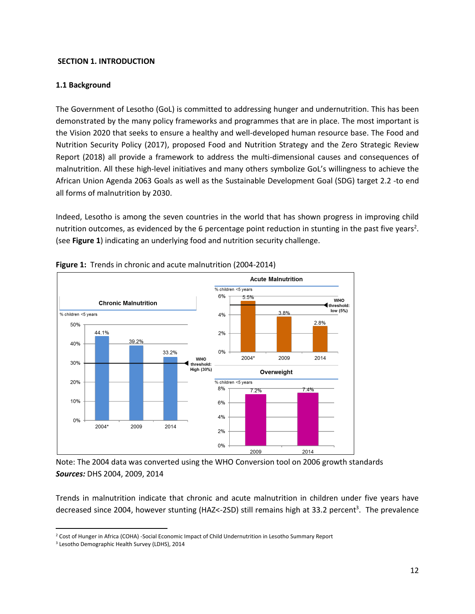## <span id="page-8-0"></span>**SECTION 1. INTRODUCTION**

## <span id="page-8-1"></span>**1.1 Background**

The Government of Lesotho (GoL) is committed to addressing hunger and undernutrition. This has been demonstrated by the many policy frameworks and programmes that are in place. The most important is the Vision 2020 that seeks to ensure a healthy and well-developed human resource base. The Food and Nutrition Security Policy (2017), proposed Food and Nutrition Strategy and the Zero Strategic Review Report (2018) all provide a framework to address the multi-dimensional causes and consequences of malnutrition. All these high-level initiatives and many others symbolize GoL's willingness to achieve the African Union Agenda 2063 Goals as well as the Sustainable Development Goal (SDG) target 2.2 -to end all forms of malnutrition by 2030.

Indeed, Lesotho is among the seven countries in the world that has shown progress in improving child nutrition outcomes, as evidenced by the 6 percentage point reduction in stunting in the past five years<sup>2</sup>. (see **Figure 1**) indicating an underlying food and nutrition security challenge.



#### <span id="page-8-2"></span>**Figure 1:** Trends in chronic and acute malnutrition (2004-2014)

Note: The 2004 data was converted using the WHO Conversion tool on 2006 growth standards *Sources:* DHS 2004, 2009, 2014

Trends in malnutrition indicate that chronic and acute malnutrition in children under five years have decreased since 2004, however stunting (HAZ<-2SD) still remains high at 33.2 percent<sup>3</sup>. The prevalence

 $\overline{\phantom{a}}$ <sup>2</sup> Cost of Hunger in Africa (COHA) -Social Economic Impact of Child Undernutrition in Lesotho Summary Report

<sup>3</sup> Lesotho Demographic Health Survey (LDHS), 2014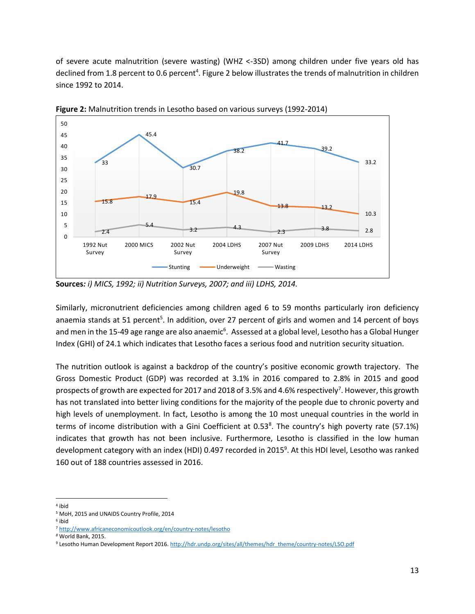of severe acute malnutrition (severe wasting) (WHZ <-3SD) among children under five years old has declined from 1.8 percent to 0.6 percent<sup>4</sup>. Figure 2 below illustrates the trends of malnutrition in children since 1992 to 2014.



<span id="page-9-0"></span>**Figure 2:** Malnutrition trends in Lesotho based on various surveys (1992-2014)

Similarly, micronutrient deficiencies among children aged 6 to 59 months particularly iron deficiency anaemia stands at 51 percent<sup>5</sup>. In addition, over 27 percent of girls and women and 14 percent of boys and men in the 15-49 age range are also anaemic<sup>6</sup>. Assessed at a global level, Lesotho has a Global Hunger Index (GHI) of 24.1 which indicates that Lesotho faces a serious food and nutrition security situation.

The nutrition outlook is against a backdrop of the country's positive economic growth trajectory. The Gross Domestic Product (GDP) was recorded at 3.1% in 2016 compared to 2.8% in 2015 and good prospects of growth are expected for 2017 and 2018 of 3.5% and 4.6% respectively<sup>7</sup>. However, this growth has not translated into better living conditions for the majority of the people due to chronic poverty and high levels of unemployment. In fact, Lesotho is among the 10 most unequal countries in the world in terms of income distribution with a Gini Coefficient at 0.53<sup>8</sup>. The country's high poverty rate (57.1%) indicates that growth has not been inclusive. Furthermore, Lesotho is classified in the low human development category with an index (HDI) 0.497 recorded in 2015<sup>9</sup>. At this HDI level, Lesotho was ranked 160 out of 188 countries assessed in 2016.

**Sources***: i) MICS, 1992; ii) Nutrition Surveys, 2007; and iii) LDHS, 2014.*

 $\overline{\phantom{a}}$ 4 ibid

<sup>5</sup> MoH, 2015 and UNAIDS Country Profile, 2014

<sup>6</sup> ibid

<sup>7</sup> <http://www.africaneconomicoutlook.org/en/country-notes/lesotho>

*<sup>8</sup>* World Bank, 2015.

<sup>9</sup> Lesotho Human Development Report 2016[. http://hdr.undp.org/sites/all/themes/hdr\\_theme/country-notes/LSO.pdf](http://hdr.undp.org/sites/all/themes/hdr_theme/country-notes/LSO.pdf)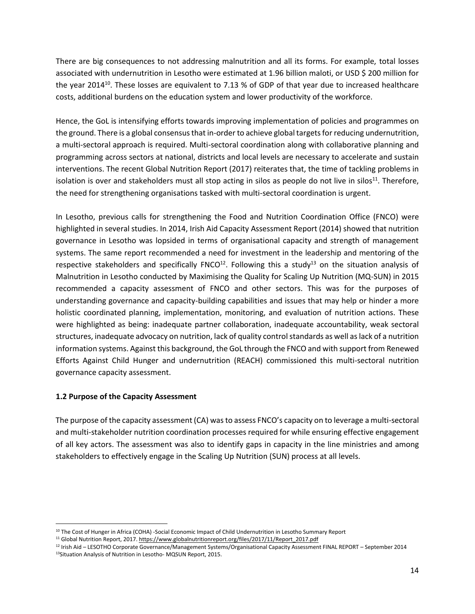There are big consequences to not addressing malnutrition and all its forms. For example, total losses associated with undernutrition in Lesotho were estimated at 1.96 billion maloti, or USD \$ 200 million for the year 2014<sup>10</sup>. These losses are equivalent to 7.13 % of GDP of that year due to increased healthcare costs, additional burdens on the education system and lower productivity of the workforce.

Hence, the GoL is intensifying efforts towards improving implementation of policies and programmes on the ground. There is a global consensus that in-order to achieve global targets for reducing undernutrition, a multi-sectoral approach is required. Multi-sectoral coordination along with collaborative planning and programming across sectors at national, districts and local levels are necessary to accelerate and sustain interventions. The recent Global Nutrition Report (2017) reiterates that, the time of tackling problems in isolation is over and stakeholders must all stop acting in silos as people do not live in silos<sup>11</sup>. Therefore, the need for strengthening organisations tasked with multi-sectoral coordination is urgent.

In Lesotho, previous calls for strengthening the Food and Nutrition Coordination Office (FNCO) were highlighted in several studies. In 2014, Irish Aid Capacity Assessment Report (2014) showed that nutrition governance in Lesotho was lopsided in terms of organisational capacity and strength of management systems. The same report recommended a need for investment in the leadership and mentoring of the respective stakeholders and specifically FNCO $^{12}$ . Following this a study $^{13}$  on the situation analysis of Malnutrition in Lesotho conducted by Maximising the Quality for Scaling Up Nutrition (MQ-SUN) in 2015 recommended a capacity assessment of FNCO and other sectors. This was for the purposes of understanding governance and capacity-building capabilities and issues that may help or hinder a more holistic coordinated planning, implementation, monitoring, and evaluation of nutrition actions. These were highlighted as being: inadequate partner collaboration, inadequate accountability, weak sectoral structures, inadequate advocacy on nutrition, lack of quality control standards as well as lack of a nutrition information systems. Against this background, the GoL through the FNCO and with support from Renewed Efforts Against Child Hunger and undernutrition (REACH) commissioned this multi-sectoral nutrition governance capacity assessment.

# <span id="page-10-0"></span>**1.2 Purpose of the Capacity Assessment**

l

The purpose of the capacity assessment (CA) wasto assess FNCO's capacity on to leverage a multi-sectoral and multi-stakeholder nutrition coordination processes required for while ensuring effective engagement of all key actors. The assessment was also to identify gaps in capacity in the line ministries and among stakeholders to effectively engage in the Scaling Up Nutrition (SUN) process at all levels.

<sup>&</sup>lt;sup>10</sup> The Cost of Hunger in Africa (COHA) -Social Economic Impact of Child Undernutrition in Lesotho Summary Report

<sup>11</sup> Global Nutrition Report, 2017[. https://www.globalnutritionreport.org/files/2017/11/Report\\_2017.pdf](https://www.globalnutritionreport.org/files/2017/11/Report_2017.pdf) 

<sup>12</sup> Irish Aid – LESOTHO Corporate Governance/Management Systems/Organisational Capacity Assessment FINAL REPORT – September 2014 <sup>13</sup>Situation Analysis of Nutrition in Lesotho- MQSUN Report, 2015.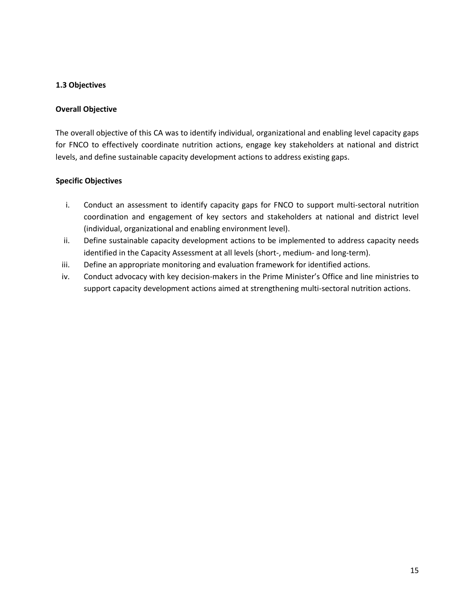## <span id="page-11-0"></span>**1.3 Objectives**

## **Overall Objective**

The overall objective of this CA was to identify individual, organizational and enabling level capacity gaps for FNCO to effectively coordinate nutrition actions, engage key stakeholders at national and district levels, and define sustainable capacity development actions to address existing gaps.

## **Specific Objectives**

- i. Conduct an assessment to identify capacity gaps for FNCO to support multi-sectoral nutrition coordination and engagement of key sectors and stakeholders at national and district level (individual, organizational and enabling environment level).
- ii. Define sustainable capacity development actions to be implemented to address capacity needs identified in the Capacity Assessment at all levels (short-, medium- and long-term).
- iii. Define an appropriate monitoring and evaluation framework for identified actions.
- iv. Conduct advocacy with key decision-makers in the Prime Minister's Office and line ministries to support capacity development actions aimed at strengthening multi-sectoral nutrition actions.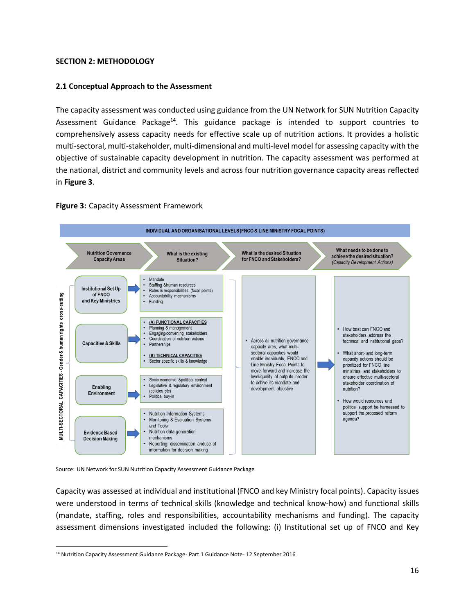## <span id="page-12-0"></span>**SECTION 2: METHODOLOGY**

## <span id="page-12-1"></span>**2.1 Conceptual Approach to the Assessment**

The capacity assessment was conducted using guidance from the UN Network for SUN Nutrition Capacity Assessment Guidance Package<sup>14</sup>. This guidance package is intended to support countries to comprehensively assess capacity needs for effective scale up of nutrition actions. It provides a holistic multi-sectoral, multi-stakeholder, multi-dimensional and multi-level model for assessing capacity with the objective of sustainable capacity development in nutrition. The capacity assessment was performed at the national, district and community levels and across four nutrition governance capacity areas reflected in **Figure 3**.

<span id="page-12-2"></span>



Source: UN Network for SUN Nutrition Capacity Assessment Guidance Package

Capacity was assessed at individual and institutional (FNCO and key Ministry focal points). Capacity issues were understood in terms of technical skills (knowledge and technical know-how) and functional skills (mandate, staffing, roles and responsibilities, accountability mechanisms and funding). The capacity assessment dimensions investigated included the following: (i) Institutional set up of FNCO and Key

 $\overline{\phantom{a}}$ <sup>14</sup> Nutrition Capacity Assessment Guidance Package- Part 1 Guidance Note- 12 September 2016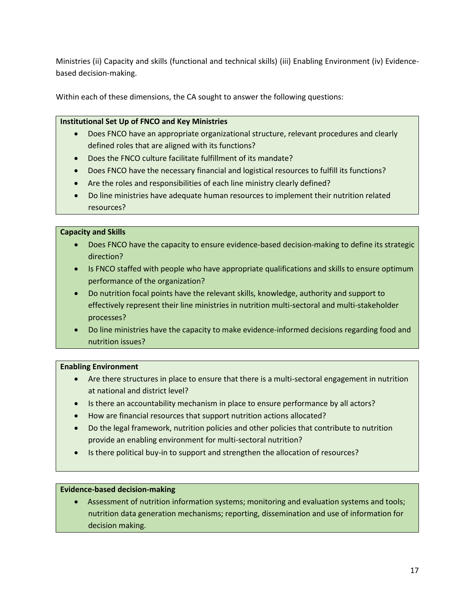Ministries (ii) Capacity and skills (functional and technical skills) (iii) Enabling Environment (iv) Evidencebased decision-making.

Within each of these dimensions, the CA sought to answer the following questions:

## **Institutional Set Up of FNCO and Key Ministries**

- Does FNCO have an appropriate organizational structure, relevant procedures and clearly defined roles that are aligned with its functions?
- Does the FNCO culture facilitate fulfillment of its mandate?
- Does FNCO have the necessary financial and logistical resources to fulfill its functions?
- Are the roles and responsibilities of each line ministry clearly defined?
- Do line ministries have adequate human resources to implement their nutrition related resources?

## **Capacity and Skills**

- Does FNCO have the capacity to ensure evidence-based decision-making to define its strategic direction?
- Is FNCO staffed with people who have appropriate qualifications and skills to ensure optimum performance of the organization?
- Do nutrition focal points have the relevant skills, knowledge, authority and support to effectively represent their line ministries in nutrition multi-sectoral and multi-stakeholder processes?
- Do line ministries have the capacity to make evidence-informed decisions regarding food and nutrition issues?

# **Enabling Environment**

- Are there structures in place to ensure that there is a multi-sectoral engagement in nutrition at national and district level?
- Is there an accountability mechanism in place to ensure performance by all actors?
- How are financial resources that support nutrition actions allocated?
- Do the legal framework, nutrition policies and other policies that contribute to nutrition provide an enabling environment for multi-sectoral nutrition?
- Is there political buy-in to support and strengthen the allocation of resources?

## **Evidence-based decision-making**

• Assessment of nutrition information systems; monitoring and evaluation systems and tools; nutrition data generation mechanisms; reporting, dissemination and use of information for decision making.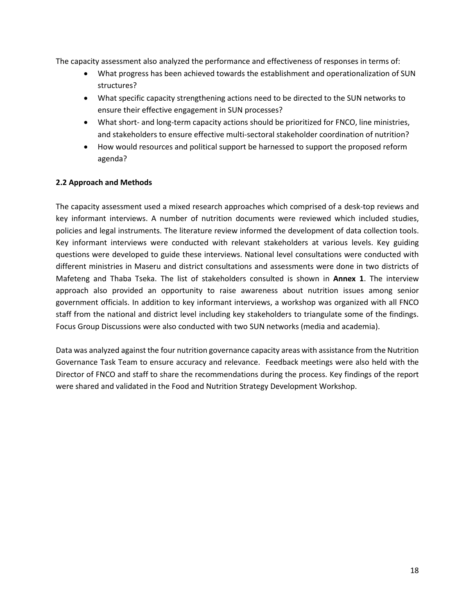The capacity assessment also analyzed the performance and effectiveness of responses in terms of:

- What progress has been achieved towards the establishment and operationalization of SUN structures?
- What specific capacity strengthening actions need to be directed to the SUN networks to ensure their effective engagement in SUN processes?
- What short- and long-term capacity actions should be prioritized for FNCO, line ministries, and stakeholders to ensure effective multi-sectoral stakeholder coordination of nutrition?
- How would resources and political support be harnessed to support the proposed reform agenda?

# <span id="page-14-0"></span>**2.2 Approach and Methods**

The capacity assessment used a mixed research approaches which comprised of a desk-top reviews and key informant interviews. A number of nutrition documents were reviewed which included studies, policies and legal instruments. The literature review informed the development of data collection tools. Key informant interviews were conducted with relevant stakeholders at various levels. Key guiding questions were developed to guide these interviews. National level consultations were conducted with different ministries in Maseru and district consultations and assessments were done in two districts of Mafeteng and Thaba Tseka. The list of stakeholders consulted is shown in **Annex 1**. The interview approach also provided an opportunity to raise awareness about nutrition issues among senior government officials. In addition to key informant interviews, a workshop was organized with all FNCO staff from the national and district level including key stakeholders to triangulate some of the findings. Focus Group Discussions were also conducted with two SUN networks (media and academia).

Data was analyzed against the four nutrition governance capacity areas with assistance from the Nutrition Governance Task Team to ensure accuracy and relevance. Feedback meetings were also held with the Director of FNCO and staff to share the recommendations during the process. Key findings of the report were shared and validated in the Food and Nutrition Strategy Development Workshop.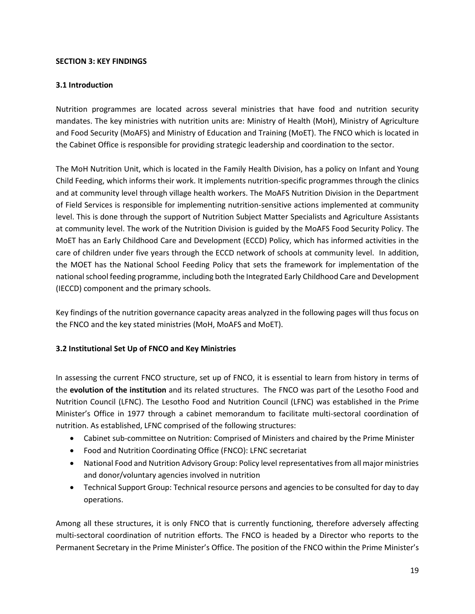## <span id="page-15-0"></span>**SECTION 3: KEY FINDINGS**

## <span id="page-15-1"></span>**3.1 Introduction**

Nutrition programmes are located across several ministries that have food and nutrition security mandates. The key ministries with nutrition units are: Ministry of Health (MoH), Ministry of Agriculture and Food Security (MoAFS) and Ministry of Education and Training (MoET). The FNCO which is located in the Cabinet Office is responsible for providing strategic leadership and coordination to the sector.

The MoH Nutrition Unit, which is located in the Family Health Division, has a policy on Infant and Young Child Feeding, which informs their work. It implements nutrition-specific programmes through the clinics and at community level through village health workers. The MoAFS Nutrition Division in the Department of Field Services is responsible for implementing nutrition-sensitive actions implemented at community level. This is done through the support of Nutrition Subject Matter Specialists and Agriculture Assistants at community level. The work of the Nutrition Division is guided by the MoAFS Food Security Policy. The MoET has an Early Childhood Care and Development (ECCD) Policy, which has informed activities in the care of children under five years through the ECCD network of schools at community level. In addition, the MOET has the National School Feeding Policy that sets the framework for implementation of the national school feeding programme, including both the Integrated Early Childhood Care and Development (IECCD) component and the primary schools.

Key findings of the nutrition governance capacity areas analyzed in the following pages will thus focus on the FNCO and the key stated ministries (MoH, MoAFS and MoET).

# <span id="page-15-2"></span>**3.2 Institutional Set Up of FNCO and Key Ministries**

In assessing the current FNCO structure, set up of FNCO, it is essential to learn from history in terms of the **evolution of the institution** and its related structures. The FNCO was part of the Lesotho Food and Nutrition Council (LFNC). The Lesotho Food and Nutrition Council (LFNC) was established in the Prime Minister's Office in 1977 through a cabinet memorandum to facilitate multi-sectoral coordination of nutrition. As established, LFNC comprised of the following structures:

- Cabinet sub-committee on Nutrition: Comprised of Ministers and chaired by the Prime Minister
- Food and Nutrition Coordinating Office (FNCO): LFNC secretariat
- National Food and Nutrition Advisory Group: Policy level representatives from all major ministries and donor/voluntary agencies involved in nutrition
- Technical Support Group: Technical resource persons and agencies to be consulted for day to day operations.

Among all these structures, it is only FNCO that is currently functioning, therefore adversely affecting multi-sectoral coordination of nutrition efforts. The FNCO is headed by a Director who reports to the Permanent Secretary in the Prime Minister's Office. The position of the FNCO within the Prime Minister's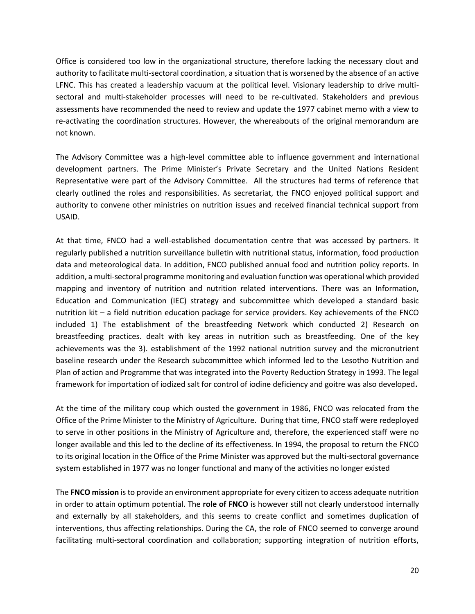Office is considered too low in the organizational structure, therefore lacking the necessary clout and authority to facilitate multi-sectoral coordination, a situation that is worsened by the absence of an active LFNC. This has created a leadership vacuum at the political level. Visionary leadership to drive multisectoral and multi-stakeholder processes will need to be re-cultivated. Stakeholders and previous assessments have recommended the need to review and update the 1977 cabinet memo with a view to re-activating the coordination structures. However, the whereabouts of the original memorandum are not known.

The Advisory Committee was a high-level committee able to influence government and international development partners. The Prime Minister's Private Secretary and the United Nations Resident Representative were part of the Advisory Committee. All the structures had terms of reference that clearly outlined the roles and responsibilities. As secretariat, the FNCO enjoyed political support and authority to convene other ministries on nutrition issues and received financial technical support from USAID.

At that time, FNCO had a well-established documentation centre that was accessed by partners. It regularly published a nutrition surveillance bulletin with nutritional status, information, food production data and meteorological data. In addition, FNCO published annual food and nutrition policy reports. In addition, a multi-sectoral programme monitoring and evaluation function was operational which provided mapping and inventory of nutrition and nutrition related interventions. There was an Information, Education and Communication (IEC) strategy and subcommittee which developed a standard basic nutrition kit – a field nutrition education package for service providers. Key achievements of the FNCO included 1) The establishment of the breastfeeding Network which conducted 2) Research on breastfeeding practices. dealt with key areas in nutrition such as breastfeeding. One of the key achievements was the 3). establishment of the 1992 national nutrition survey and the micronutrient baseline research under the Research subcommittee which informed led to the Lesotho Nutrition and Plan of action and Programme that was integrated into the Poverty Reduction Strategy in 1993. The legal framework for importation of iodized salt for control of iodine deficiency and goitre was also developed**.** 

At the time of the military coup which ousted the government in 1986, FNCO was relocated from the Office of the Prime Minister to the Ministry of Agriculture. During that time, FNCO staff were redeployed to serve in other positions in the Ministry of Agriculture and, therefore, the experienced staff were no longer available and this led to the decline of its effectiveness. In 1994, the proposal to return the FNCO to its original location in the Office of the Prime Minister was approved but the multi-sectoral governance system established in 1977 was no longer functional and many of the activities no longer existed

The **FNCO mission** is to provide an environment appropriate for every citizen to access adequate nutrition in order to attain optimum potential. The **role of FNCO** is however still not clearly understood internally and externally by all stakeholders, and this seems to create conflict and sometimes duplication of interventions, thus affecting relationships. During the CA, the role of FNCO seemed to converge around facilitating multi-sectoral coordination and collaboration; supporting integration of nutrition efforts,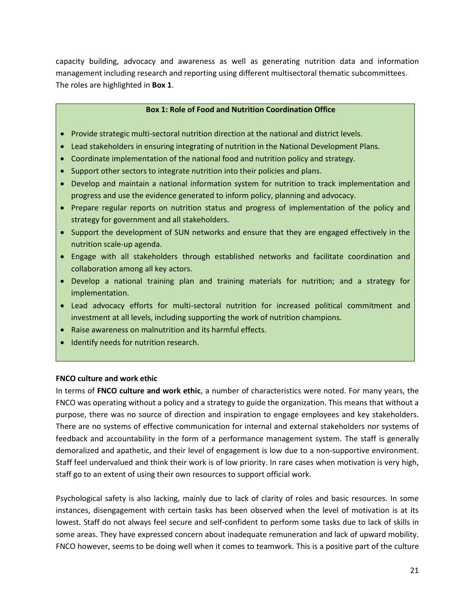capacity building, advocacy and awareness as well as generating nutrition data and information management including research and reporting using different multisectoral thematic subcommittees. The roles are highlighted in **Box 1**.

#### **Box 1: Role of Food and Nutrition Coordination Office**

- Provide strategic multi-sectoral nutrition direction at the national and district levels.
- Lead stakeholders in ensuring integrating of nutrition in the National Development Plans.
- Coordinate implementation of the national food and nutrition policy and strategy.
- Support other sectors to integrate nutrition into their policies and plans.
- Develop and maintain a national information system for nutrition to track implementation and progress and use the evidence generated to inform policy, planning and advocacy.
- Prepare regular reports on nutrition status and progress of implementation of the policy and strategy for government and all stakeholders.
- Support the development of SUN networks and ensure that they are engaged effectively in the nutrition scale-up agenda.
- Engage with all stakeholders through established networks and facilitate coordination and collaboration among all key actors.
- Develop a national training plan and training materials for nutrition; and a strategy for implementation.
- Lead advocacy efforts for multi-sectoral nutrition for increased political commitment and investment at all levels, including supporting the work of nutrition champions.
- Raise awareness on malnutrition and its harmful effects.
- Identify needs for nutrition research.

## **FNCO culture and work ethic**

In terms of **FNCO culture and work ethic**, a number of characteristics were noted. For many years, the FNCO was operating without a policy and a strategy to guide the organization. This means that without a purpose, there was no source of direction and inspiration to engage employees and key stakeholders. There are no systems of effective communication for internal and external stakeholders nor systems of feedback and accountability in the form of a performance management system. The staff is generally demoralized and apathetic, and their level of engagement is low due to a non-supportive environment. Staff feel undervalued and think their work is of low priority. In rare cases when motivation is very high, staff go to an extent of using their own resources to support official work.

Psychological safety is also lacking, mainly due to lack of clarity of roles and basic resources. In some instances, disengagement with certain tasks has been observed when the level of motivation is at its lowest. Staff do not always feel secure and self-confident to perform some tasks due to lack of skills in some areas. They have expressed concern about inadequate remuneration and lack of upward mobility. FNCO however, seems to be doing well when it comes to teamwork. This is a positive part of the culture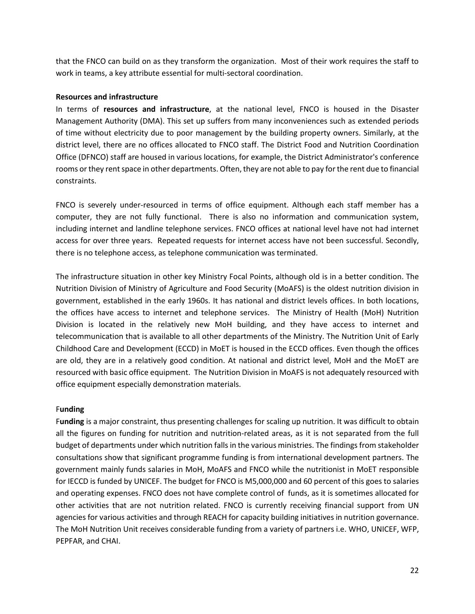that the FNCO can build on as they transform the organization. Most of their work requires the staff to work in teams, a key attribute essential for multi-sectoral coordination.

#### **Resources and infrastructure**

In terms of **resources and infrastructure**, at the national level, FNCO is housed in the Disaster Management Authority (DMA). This set up suffers from many inconveniences such as extended periods of time without electricity due to poor management by the building property owners. Similarly, at the district level, there are no offices allocated to FNCO staff. The District Food and Nutrition Coordination Office (DFNCO) staff are housed in various locations, for example, the District Administrator's conference rooms or they rent space in other departments. Often, they are not able to pay forthe rent due to financial constraints.

FNCO is severely under-resourced in terms of office equipment. Although each staff member has a computer, they are not fully functional. There is also no information and communication system, including internet and landline telephone services. FNCO offices at national level have not had internet access for over three years. Repeated requests for internet access have not been successful. Secondly, there is no telephone access, as telephone communication was terminated.

The infrastructure situation in other key Ministry Focal Points, although old is in a better condition. The Nutrition Division of Ministry of Agriculture and Food Security (MoAFS) is the oldest nutrition division in government, established in the early 1960s. It has national and district levels offices. In both locations, the offices have access to internet and telephone services. The Ministry of Health (MoH) Nutrition Division is located in the relatively new MoH building, and they have access to internet and telecommunication that is available to all other departments of the Ministry. The Nutrition Unit of Early Childhood Care and Development (ECCD) in MoET is housed in the ECCD offices. Even though the offices are old, they are in a relatively good condition. At national and district level, MoH and the MoET are resourced with basic office equipment. The Nutrition Division in MoAFS is not adequately resourced with office equipment especially demonstration materials.

#### F**unding**

F**unding** is a major constraint, thus presenting challenges for scaling up nutrition. It was difficult to obtain all the figures on funding for nutrition and nutrition-related areas, as it is not separated from the full budget of departments under which nutrition falls in the various ministries. The findings from stakeholder consultations show that significant programme funding is from international development partners. The government mainly funds salaries in MoH, MoAFS and FNCO while the nutritionist in MoET responsible for IECCD is funded by UNICEF. The budget for FNCO is M5,000,000 and 60 percent of this goes to salaries and operating expenses. FNCO does not have complete control of funds, as it is sometimes allocated for other activities that are not nutrition related. FNCO is currently receiving financial support from UN agencies for various activities and through REACH for capacity building initiatives in nutrition governance. The MoH Nutrition Unit receives considerable funding from a variety of partners i.e. WHO, UNICEF, WFP, PEPFAR, and CHAI.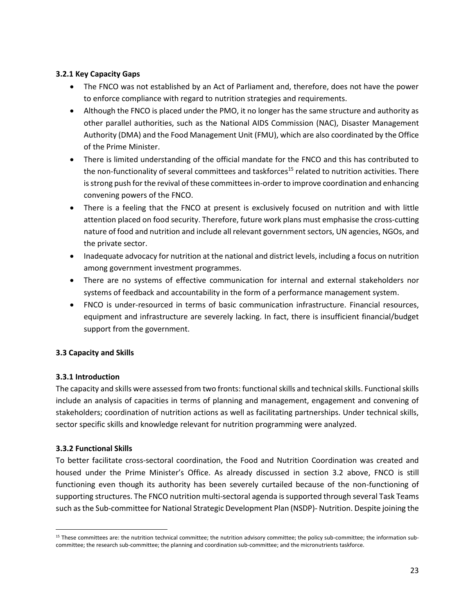## <span id="page-19-0"></span>**3.2.1 Key Capacity Gaps**

- The FNCO was not established by an Act of Parliament and, therefore, does not have the power to enforce compliance with regard to nutrition strategies and requirements.
- Although the FNCO is placed under the PMO, it no longer has the same structure and authority as other parallel authorities, such as the National AIDS Commission (NAC), Disaster Management Authority (DMA) and the Food Management Unit (FMU), which are also coordinated by the Office of the Prime Minister.
- There is limited understanding of the official mandate for the FNCO and this has contributed to the non-functionality of several committees and taskforces<sup>15</sup> related to nutrition activities. There is strong push for the revival of these committees in-order to improve coordination and enhancing convening powers of the FNCO.
- There is a feeling that the FNCO at present is exclusively focused on nutrition and with little attention placed on food security. Therefore, future work plans must emphasise the cross-cutting nature of food and nutrition and include all relevant government sectors, UN agencies, NGOs, and the private sector.
- Inadequate advocacy for nutrition at the national and district levels, including a focus on nutrition among government investment programmes.
- There are no systems of effective communication for internal and external stakeholders nor systems of feedback and accountability in the form of a performance management system.
- FNCO is under-resourced in terms of basic communication infrastructure. Financial resources, equipment and infrastructure are severely lacking. In fact, there is insufficient financial/budget support from the government.

# <span id="page-19-1"></span>**3.3 Capacity and Skills**

# <span id="page-19-2"></span>**3.3.1 Introduction**

The capacity and skills were assessed from two fronts: functional skills and technical skills. Functional skills include an analysis of capacities in terms of planning and management, engagement and convening of stakeholders; coordination of nutrition actions as well as facilitating partnerships. Under technical skills, sector specific skills and knowledge relevant for nutrition programming were analyzed.

# <span id="page-19-3"></span>**3.3.2 Functional Skills**

 $\overline{a}$ 

To better facilitate cross-sectoral coordination, the Food and Nutrition Coordination was created and housed under the Prime Minister's Office. As already discussed in section 3.2 above, FNCO is still functioning even though its authority has been severely curtailed because of the non-functioning of supporting structures. The FNCO nutrition multi-sectoral agenda is supported through several Task Teams such as the Sub-committee for National Strategic Development Plan (NSDP)- Nutrition. Despite joining the

<sup>&</sup>lt;sup>15</sup> These committees are: the nutrition technical committee; the nutrition advisory committee; the policy sub-committee; the information subcommittee; the research sub-committee; the planning and coordination sub-committee; and the micronutrients taskforce.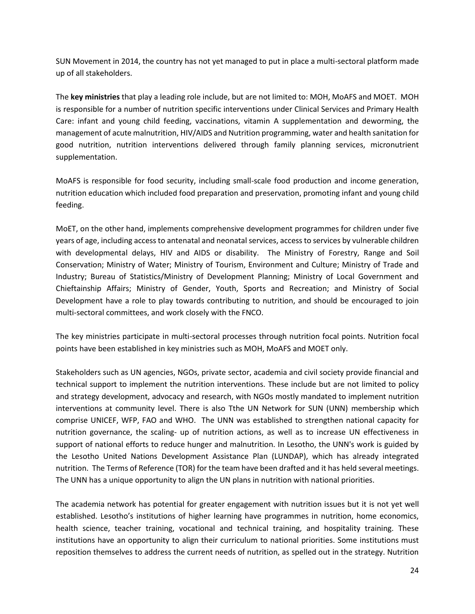SUN Movement in 2014, the country has not yet managed to put in place a multi-sectoral platform made up of all stakeholders.

The **key ministries** that play a leading role include, but are not limited to: MOH, MoAFS and MOET. MOH is responsible for a number of nutrition specific interventions under Clinical Services and Primary Health Care: infant and young child feeding, vaccinations, vitamin A supplementation and deworming, the management of acute malnutrition, HIV/AIDS and Nutrition programming, water and health sanitation for good nutrition, nutrition interventions delivered through family planning services, micronutrient supplementation.

MoAFS is responsible for food security, including small-scale food production and income generation, nutrition education which included food preparation and preservation, promoting infant and young child feeding.

MoET, on the other hand, implements comprehensive development programmes for children under five years of age, including access to antenatal and neonatal services, access to services by vulnerable children with developmental delays, HIV and AIDS or disability. The Ministry of Forestry, Range and Soil Conservation; Ministry of Water; Ministry of Tourism, Environment and Culture; Ministry of Trade and Industry; Bureau of Statistics/Ministry of Development Planning; Ministry of Local Government and Chieftainship Affairs; Ministry of Gender, Youth, Sports and Recreation; and Ministry of Social Development have a role to play towards contributing to nutrition, and should be encouraged to join multi-sectoral committees, and work closely with the FNCO.

The key ministries participate in multi-sectoral processes through nutrition focal points. Nutrition focal points have been established in key ministries such as MOH, MoAFS and MOET only.

Stakeholders such as UN agencies, NGOs, private sector, academia and civil society provide financial and technical support to implement the nutrition interventions. These include but are not limited to policy and strategy development, advocacy and research, with NGOs mostly mandated to implement nutrition interventions at community level. There is also Tthe UN Network for SUN (UNN) membership which comprise UNICEF, WFP, FAO and WHO. The UNN was established to strengthen national capacity for nutrition governance, the scaling- up of nutrition actions, as well as to increase UN effectiveness in support of national efforts to reduce hunger and malnutrition. In Lesotho, the UNN's work is guided by the Lesotho United Nations Development Assistance Plan (LUNDAP), which has already integrated nutrition. The Terms of Reference (TOR) for the team have been drafted and it has held several meetings. The UNN has a unique opportunity to align the UN plans in nutrition with national priorities.

The academia network has potential for greater engagement with nutrition issues but it is not yet well established. Lesotho's institutions of higher learning have programmes in nutrition, home economics, health science, teacher training, vocational and technical training, and hospitality training. These institutions have an opportunity to align their curriculum to national priorities. Some institutions must reposition themselves to address the current needs of nutrition, as spelled out in the strategy. Nutrition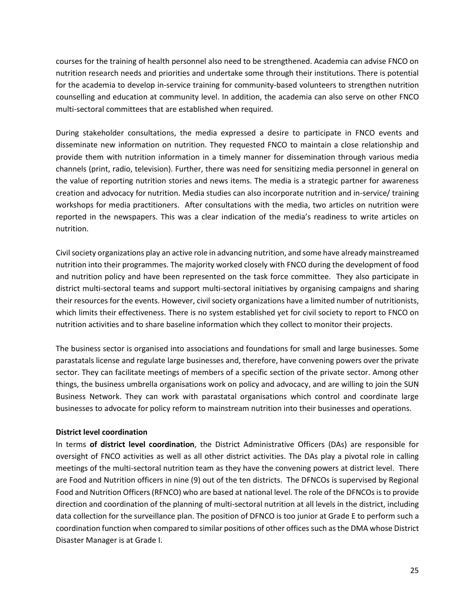courses for the training of health personnel also need to be strengthened. Academia can advise FNCO on nutrition research needs and priorities and undertake some through their institutions. There is potential for the academia to develop in-service training for community-based volunteers to strengthen nutrition counselling and education at community level. In addition, the academia can also serve on other FNCO multi-sectoral committees that are established when required.

During stakeholder consultations, the media expressed a desire to participate in FNCO events and disseminate new information on nutrition. They requested FNCO to maintain a close relationship and provide them with nutrition information in a timely manner for dissemination through various media channels (print, radio, television). Further, there was need for sensitizing media personnel in general on the value of reporting nutrition stories and news items. The media is a strategic partner for awareness creation and advocacy for nutrition. Media studies can also incorporate nutrition and in-service/ training workshops for media practitioners. After consultations with the media, two articles on nutrition were reported in the newspapers. This was a clear indication of the media's readiness to write articles on nutrition.

Civil society organizations play an active role in advancing nutrition, and some have already mainstreamed nutrition into their programmes. The majority worked closely with FNCO during the development of food and nutrition policy and have been represented on the task force committee. They also participate in district multi-sectoral teams and support multi-sectoral initiatives by organising campaigns and sharing their resources for the events. However, civil society organizations have a limited number of nutritionists, which limits their effectiveness. There is no system established yet for civil society to report to FNCO on nutrition activities and to share baseline information which they collect to monitor their projects.

The business sector is organised into associations and foundations for small and large businesses. Some parastatals license and regulate large businesses and, therefore, have convening powers over the private sector. They can facilitate meetings of members of a specific section of the private sector. Among other things, the business umbrella organisations work on policy and advocacy, and are willing to join the SUN Business Network. They can work with parastatal organisations which control and coordinate large businesses to advocate for policy reform to mainstream nutrition into their businesses and operations.

## **District level coordination**

In terms **of district level coordination**, the District Administrative Officers (DAs) are responsible for oversight of FNCO activities as well as all other district activities. The DAs play a pivotal role in calling meetings of the multi-sectoral nutrition team as they have the convening powers at district level. There are Food and Nutrition officers in nine (9) out of the ten districts. The DFNCOs is supervised by Regional Food and Nutrition Officers (RFNCO) who are based at national level. The role of the DFNCOs is to provide direction and coordination of the planning of multi-sectoral nutrition at all levels in the district, including data collection for the surveillance plan. The position of DFNCO is too junior at Grade E to perform such a coordination function when compared to similar positions of other offices such as the DMA whose District Disaster Manager is at Grade I.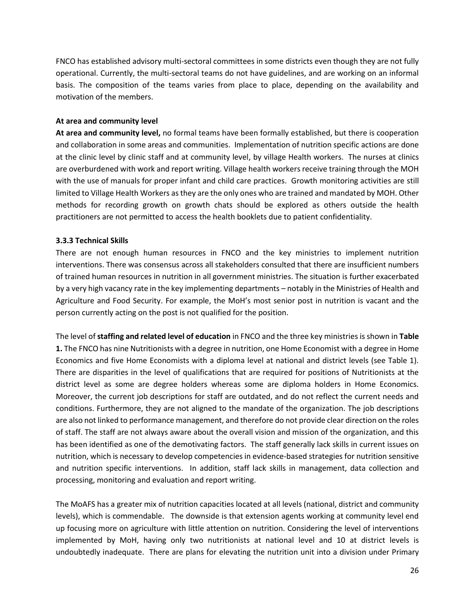FNCO has established advisory multi-sectoral committees in some districts even though they are not fully operational. Currently, the multi-sectoral teams do not have guidelines, and are working on an informal basis. The composition of the teams varies from place to place, depending on the availability and motivation of the members.

#### **At area and community level**

**At area and community level,** no formal teams have been formally established, but there is cooperation and collaboration in some areas and communities. Implementation of nutrition specific actions are done at the clinic level by clinic staff and at community level, by village Health workers. The nurses at clinics are overburdened with work and report writing. Village health workers receive training through the MOH with the use of manuals for proper infant and child care practices. Growth monitoring activities are still limited to Village Health Workers as they are the only ones who are trained and mandated by MOH. Other methods for recording growth on growth chats should be explored as others outside the health practitioners are not permitted to access the health booklets due to patient confidentiality.

## <span id="page-22-0"></span>**3.3.3 Technical Skills**

There are not enough human resources in FNCO and the key ministries to implement nutrition interventions. There was consensus across all stakeholders consulted that there are insufficient numbers of trained human resources in nutrition in all government ministries. The situation is further exacerbated by a very high vacancy rate in the key implementing departments – notably in the Ministries of Health and Agriculture and Food Security. For example, the MoH's most senior post in nutrition is vacant and the person currently acting on the post is not qualified for the position.

The level of **staffing and related level of education** in FNCO and the three key ministries is shown in **Table 1.** The FNCO has nine Nutritionists with a degree in nutrition, one Home Economist with a degree in Home Economics and five Home Economists with a diploma level at national and district levels (see Table 1). There are disparities in the level of qualifications that are required for positions of Nutritionists at the district level as some are degree holders whereas some are diploma holders in Home Economics. Moreover, the current job descriptions for staff are outdated, and do not reflect the current needs and conditions. Furthermore, they are not aligned to the mandate of the organization. The job descriptions are also not linked to performance management, and therefore do not provide clear direction on the roles of staff. The staff are not always aware about the overall vision and mission of the organization, and this has been identified as one of the demotivating factors. The staff generally lack skills in current issues on nutrition, which is necessary to develop competencies in evidence-based strategies for nutrition sensitive and nutrition specific interventions. In addition, staff lack skills in management, data collection and processing, monitoring and evaluation and report writing.

The MoAFS has a greater mix of nutrition capacities located at all levels (national, district and community levels), which is commendable. The downside is that extension agents working at community level end up focusing more on agriculture with little attention on nutrition. Considering the level of interventions implemented by MoH, having only two nutritionists at national level and 10 at district levels is undoubtedly inadequate. There are plans for elevating the nutrition unit into a division under Primary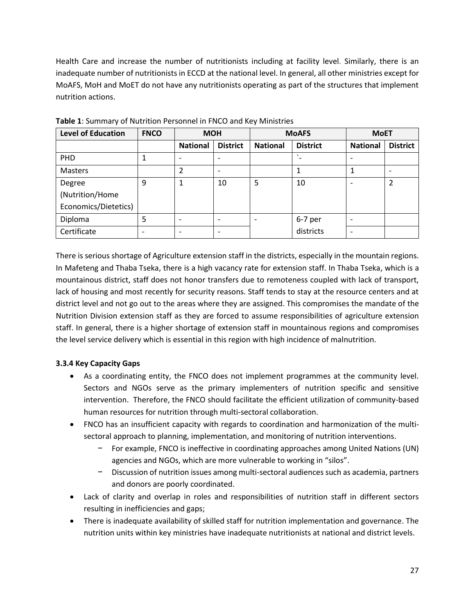Health Care and increase the number of nutritionists including at facility level. Similarly, there is an inadequate number of nutritionists in ECCD at the national level. In general, all other ministries except for MoAFS, MoH and MoET do not have any nutritionists operating as part of the structures that implement nutrition actions.

| <b>Level of Education</b> | <b>FNCO</b>              | <b>MOH</b>      |                          | <b>MoAFS</b>    |                 | <b>MoET</b>     |                 |
|---------------------------|--------------------------|-----------------|--------------------------|-----------------|-----------------|-----------------|-----------------|
|                           |                          | <b>National</b> | <b>District</b>          | <b>National</b> | <b>District</b> | <b>National</b> | <b>District</b> |
| <b>PHD</b>                | 1                        |                 |                          |                 | $\cdot$         |                 |                 |
| Masters                   |                          | $\overline{2}$  | $\overline{\phantom{0}}$ |                 |                 |                 |                 |
| Degree                    | 9                        |                 | 10                       | 5               | 10              |                 |                 |
| (Nutrition/Home           |                          |                 |                          |                 |                 |                 |                 |
| Economics/Dietetics)      |                          |                 |                          |                 |                 |                 |                 |
| Diploma                   | 5                        |                 |                          |                 | 6-7 per         |                 |                 |
| Certificate               | $\overline{\phantom{0}}$ |                 |                          |                 | districts       |                 |                 |

<span id="page-23-1"></span>**Table 1**: Summary of Nutrition Personnel in FNCO and Key Ministries

There is serious shortage of Agriculture extension staff in the districts, especially in the mountain regions. In Mafeteng and Thaba Tseka, there is a high vacancy rate for extension staff. In Thaba Tseka, which is a mountainous district, staff does not honor transfers due to remoteness coupled with lack of transport, lack of housing and most recently for security reasons. Staff tends to stay at the resource centers and at district level and not go out to the areas where they are assigned. This compromises the mandate of the Nutrition Division extension staff as they are forced to assume responsibilities of agriculture extension staff. In general, there is a higher shortage of extension staff in mountainous regions and compromises the level service delivery which is essential in this region with high incidence of malnutrition.

# <span id="page-23-0"></span>**3.3.4 Key Capacity Gaps**

- As a coordinating entity, the FNCO does not implement programmes at the community level. Sectors and NGOs serve as the primary implementers of nutrition specific and sensitive intervention. Therefore, the FNCO should facilitate the efficient utilization of community-based human resources for nutrition through multi-sectoral collaboration.
- FNCO has an insufficient capacity with regards to coordination and harmonization of the multisectoral approach to planning, implementation, and monitoring of nutrition interventions.
	- − For example, FNCO is ineffective in coordinating approaches among United Nations (UN) agencies and NGOs, which are more vulnerable to working in "silos".
	- − Discussion of nutrition issues among multi-sectoral audiences such as academia, partners and donors are poorly coordinated.
- Lack of clarity and overlap in roles and responsibilities of nutrition staff in different sectors resulting in inefficiencies and gaps;
- There is inadequate availability of skilled staff for nutrition implementation and governance. The nutrition units within key ministries have inadequate nutritionists at national and district levels.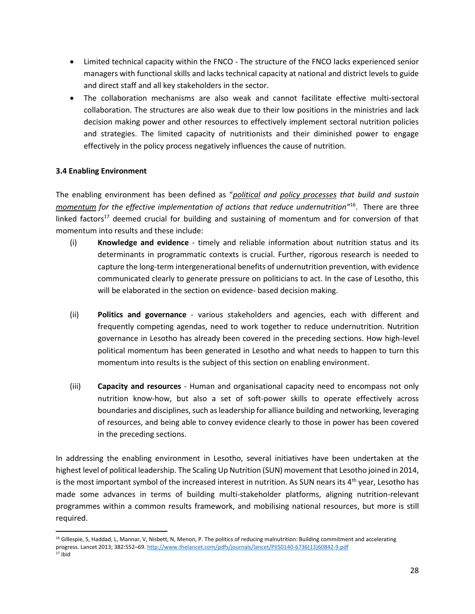- Limited technical capacity within the FNCO The structure of the FNCO lacks experienced senior managers with functional skills and lacks technical capacity at national and district levels to guide and direct staff and all key stakeholders in the sector.
- The collaboration mechanisms are also weak and cannot facilitate effective multi-sectoral collaboration. The structures are also weak due to their low positions in the ministries and lack decision making power and other resources to effectively implement sectoral nutrition policies and strategies. The limited capacity of nutritionists and their diminished power to engage effectively in the policy process negatively influences the cause of nutrition.

## <span id="page-24-0"></span>**3.4 Enabling Environment**

 $\overline{\phantom{a}}$ 

The enabling environment has been defined as "*political and policy processes that build and sustain momentum for the effective implementation of actions that reduce undernutrition"*<sup>16</sup> . There are three linked factors<sup>17</sup> deemed crucial for building and sustaining of momentum and for conversion of that momentum into results and these include:

- (i) **Knowledge and evidence** timely and reliable information about nutrition status and its determinants in programmatic contexts is crucial. Further, rigorous research is needed to capture the long-term intergenerational benefits of undernutrition prevention, with evidence communicated clearly to generate pressure on politicians to act. In the case of Lesotho, this will be elaborated in the section on evidence- based decision making.
- (ii) **Politics and governance** various stakeholders and agencies, each with different and frequently competing agendas, need to work together to reduce undernutrition. Nutrition governance in Lesotho has already been covered in the preceding sections. How high-level political momentum has been generated in Lesotho and what needs to happen to turn this momentum into results is the subject of this section on enabling environment.
- (iii) **Capacity and resources** Human and organisational capacity need to encompass not only nutrition know-how, but also a set of soft-power skills to operate effectively across boundaries and disciplines, such as leadership for alliance building and networking, leveraging of resources, and being able to convey evidence clearly to those in power has been covered in the preceding sections.

In addressing the enabling environment in Lesotho, several initiatives have been undertaken at the highest level of political leadership. The Scaling Up Nutrition (SUN) movement that Lesotho joined in 2014, is the most important symbol of the increased interest in nutrition. As SUN nears its  $4<sup>th</sup>$  year, Lesotho has made some advances in terms of building multi-stakeholder platforms, aligning nutrition-relevant programmes within a common results framework, and mobilising national resources, but more is still required.

<sup>&</sup>lt;sup>16</sup> Gillespie, S, Haddad, L, Mannar, V, Nisbett, N, Menon, P. The politics of reducing malnutrition: Building commitment and accelerating progress. Lancet 2013; 382:552–69. [http://www.thelancet.com/pdfs/journals/lancet/PIIS0140-6736\(13\)60842-9.pdf](http://www.thelancet.com/pdfs/journals/lancet/PIIS0140-6736(13)60842-9.pdf)  <sup>17</sup> ibid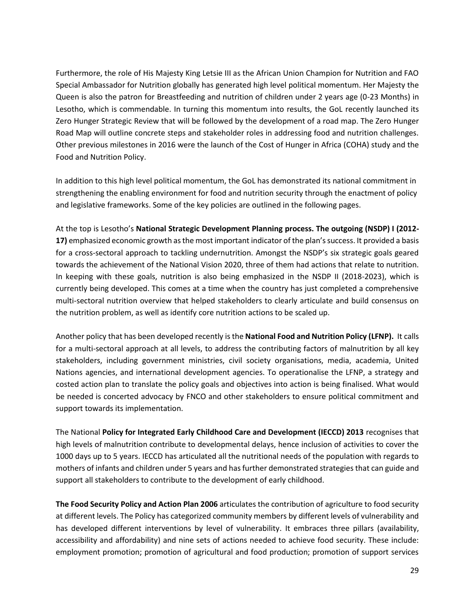Furthermore, the role of His Majesty King Letsie III as the African Union Champion for Nutrition and FAO Special Ambassador for Nutrition globally has generated high level political momentum. Her Majesty the Queen is also the patron for Breastfeeding and nutrition of children under 2 years age (0-23 Months) in Lesotho, which is commendable. In turning this momentum into results, the GoL recently launched its Zero Hunger Strategic Review that will be followed by the development of a road map. The Zero Hunger Road Map will outline concrete steps and stakeholder roles in addressing food and nutrition challenges. Other previous milestones in 2016 were the launch of the Cost of Hunger in Africa (COHA) study and the Food and Nutrition Policy.

In addition to this high level political momentum, the GoL has demonstrated its national commitment in strengthening the enabling environment for food and nutrition security through the enactment of policy and legislative frameworks. Some of the key policies are outlined in the following pages.

At the top is Lesotho's **National Strategic Development Planning process. The outgoing (NSDP) I (2012- 17)** emphasized economic growth as the most important indicator of the plan's success. It provided a basis for a cross-sectoral approach to tackling undernutrition. Amongst the NSDP's six strategic goals geared towards the achievement of the National Vision 2020, three of them had actions that relate to nutrition. In keeping with these goals, nutrition is also being emphasized in the NSDP II (2018-2023), which is currently being developed. This comes at a time when the country has just completed a comprehensive multi-sectoral nutrition overview that helped stakeholders to clearly articulate and build consensus on the nutrition problem, as well as identify core nutrition actions to be scaled up.

Another policy that has been developed recently is the **National Food and Nutrition Policy (LFNP).** It calls for a multi-sectoral approach at all levels, to address the contributing factors of malnutrition by all key stakeholders, including government ministries, civil society organisations, media, academia, United Nations agencies, and international development agencies. To operationalise the LFNP, a strategy and costed action plan to translate the policy goals and objectives into action is being finalised. What would be needed is concerted advocacy by FNCO and other stakeholders to ensure political commitment and support towards its implementation.

The National **Policy for Integrated Early Childhood Care and Development (IECCD) 2013** recognises that high levels of malnutrition contribute to developmental delays, hence inclusion of activities to cover the 1000 days up to 5 years. IECCD has articulated all the nutritional needs of the population with regards to mothers of infants and children under 5 years and has further demonstrated strategies that can guide and support all stakeholders to contribute to the development of early childhood.

**The Food Security Policy and Action Plan 2006** articulates the contribution of agriculture to food security at different levels. The Policy has categorized community members by different levels of vulnerability and has developed different interventions by level of vulnerability. It embraces three pillars (availability, accessibility and affordability) and nine sets of actions needed to achieve food security. These include: employment promotion; promotion of agricultural and food production; promotion of support services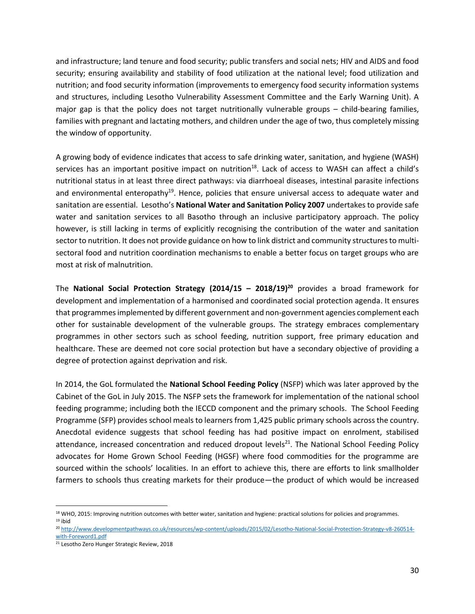and infrastructure; land tenure and food security; public transfers and social nets; HIV and AIDS and food security; ensuring availability and stability of food utilization at the national level; food utilization and nutrition; and food security information (improvements to emergency food security information systems and structures, including Lesotho Vulnerability Assessment Committee and the Early Warning Unit). A major gap is that the policy does not target nutritionally vulnerable groups – child-bearing families, families with pregnant and lactating mothers, and children under the age of two, thus completely missing the window of opportunity.

A growing body of evidence indicates that access to safe drinking water, sanitation, and hygiene (WASH) services has an important positive impact on nutrition<sup>18</sup>. Lack of access to WASH can affect a child's nutritional status in at least three direct pathways: via diarrhoeal diseases, intestinal parasite infections and environmental enteropathy<sup>19</sup>. Hence, policies that ensure universal access to adequate water and sanitation are essential. Lesotho's **National Water and Sanitation Policy 2007** undertakes to provide safe water and sanitation services to all Basotho through an inclusive participatory approach. The policy however, is still lacking in terms of explicitly recognising the contribution of the water and sanitation sector to nutrition. It does not provide guidance on how to link district and community structures to multisectoral food and nutrition coordination mechanisms to enable a better focus on target groups who are most at risk of malnutrition.

The **National Social Protection Strategy (2014/15 – 2018/19) <sup>20</sup>** provides a broad framework for development and implementation of a harmonised and coordinated social protection agenda. It ensures that programmes implemented by different government and non-government agencies complement each other for sustainable development of the vulnerable groups. The strategy embraces complementary programmes in other sectors such as school feeding, nutrition support, free primary education and healthcare. These are deemed not core social protection but have a secondary objective of providing a degree of protection against deprivation and risk.

In 2014, the GoL formulated the **National School Feeding Policy** (NSFP) which was later approved by the Cabinet of the GoL in July 2015. The NSFP sets the framework for implementation of the national school feeding programme; including both the IECCD component and the primary schools. The School Feeding Programme (SFP) provides school meals to learners from 1,425 public primary schools across the country. Anecdotal evidence suggests that school feeding has had positive impact on enrolment, stabilised attendance, increased concentration and reduced dropout levels<sup>21</sup>. The National School Feeding Policy advocates for Home Grown School Feeding (HGSF) where food commodities for the programme are sourced within the schools' localities. In an effort to achieve this, there are efforts to link smallholder farmers to schools thus creating markets for their produce—the product of which would be increased

 $\overline{\phantom{a}}$ 18 WHO, 2015: Improving nutrition outcomes with better water, sanitation and hygiene: practical solutions for policies and programmes.  $19$  ibid

<sup>20</sup> [http://www.developmentpathways.co.uk/resources/wp-content/uploads/2015/02/Lesotho-National-Social-Protection-Strategy-v8-260514](http://www.developmentpathways.co.uk/resources/wp-content/uploads/2015/02/Lesotho-National-Social-Protection-Strategy-v8-260514-with-Foreword1.pdf) [with-Foreword1.pdf](http://www.developmentpathways.co.uk/resources/wp-content/uploads/2015/02/Lesotho-National-Social-Protection-Strategy-v8-260514-with-Foreword1.pdf)

<sup>21</sup> Lesotho Zero Hunger Strategic Review, 2018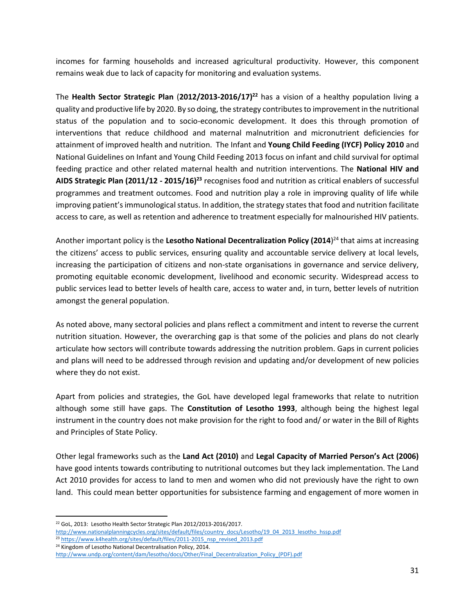incomes for farming households and increased agricultural productivity. However, this component remains weak due to lack of capacity for monitoring and evaluation systems.

The **Health Sector Strategic Plan** (**2012/2013-2016/17) <sup>22</sup>** has a vision of a healthy population living a quality and productive life by 2020. By so doing, the strategy contributes to improvement in the nutritional status of the population and to socio-economic development. It does this through promotion of interventions that reduce childhood and maternal malnutrition and micronutrient deficiencies for attainment of improved health and nutrition. The Infant and **Young Child Feeding (IYCF) Policy 2010** and National Guidelines on Infant and Young Child Feeding 2013 focus on infant and child survival for optimal feeding practice and other related maternal health and nutrition interventions. The **National HIV and AIDS Strategic Plan (2011/12 - 2015/16) <sup>23</sup>** recognises food and nutrition as critical enablers of successful programmes and treatment outcomes. Food and nutrition play a role in improving quality of life while improving patient's immunological status. In addition, the strategy states that food and nutrition facilitate access to care, as well as retention and adherence to treatment especially for malnourished HIV patients.

Another important policy is the **Lesotho National Decentralization Policy (2014**) <sup>24</sup> that aims at increasing the citizens' access to public services, ensuring quality and accountable service delivery at local levels, increasing the participation of citizens and non-state organisations in governance and service delivery, promoting equitable economic development, livelihood and economic security. Widespread access to public services lead to better levels of health care, access to water and, in turn, better levels of nutrition amongst the general population.

As noted above, many sectoral policies and plans reflect a commitment and intent to reverse the current nutrition situation. However, the overarching gap is that some of the policies and plans do not clearly articulate how sectors will contribute towards addressing the nutrition problem. Gaps in current policies and plans will need to be addressed through revision and updating and/or development of new policies where they do not exist.

Apart from policies and strategies, the GoL have developed legal frameworks that relate to nutrition although some still have gaps. The **Constitution of Lesotho 1993**, although being the highest legal instrument in the country does not make provision for the right to food and/ or water in the Bill of Rights and Principles of State Policy.

Other legal frameworks such as the **Land Act (2010)** and **Legal Capacity of Married Person's Act (2006)** have good intents towards contributing to nutritional outcomes but they lack implementation. The Land Act 2010 provides for access to land to men and women who did not previously have the right to own land. This could mean better opportunities for subsistence farming and engagement of more women in

l <sup>22</sup> GoL, 2013: Lesotho Health Sector Strategic Plan 2012/2013-2016/2017.

[http://www.nationalplanningcycles.org/sites/default/files/country\\_docs/Lesotho/19\\_04\\_2013\\_lesotho\\_hssp.pdf](http://www.nationalplanningcycles.org/sites/default/files/country_docs/Lesotho/19_04_2013_lesotho_hssp.pdf)

<sup>&</sup>lt;sup>23</sup> [https://www.k4health.org/sites/default/files/2011-2015\\_nsp\\_revised\\_2013.pdf](https://www.k4health.org/sites/default/files/2011-2015_nsp_revised_2013.pdf) <sup>24</sup> Kingdom of Lesotho National Decentralisation Policy, 2014.

[http://www.undp.org/content/dam/lesotho/docs/Other/Final\\_Decentralization\\_Policy\\_\(PDF\).pdf](http://www.undp.org/content/dam/lesotho/docs/Other/Final_Decentralization_Policy_(PDF).pdf)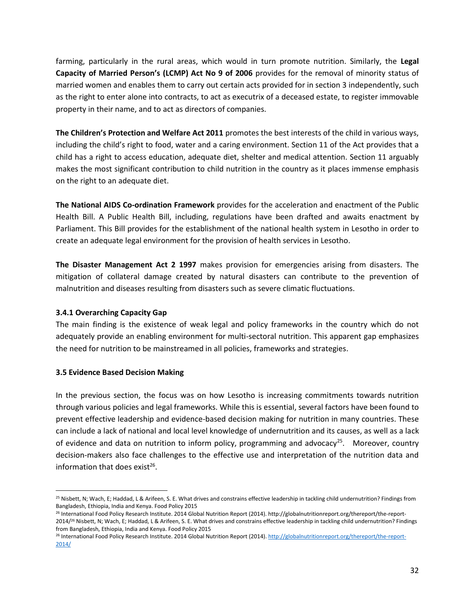farming, particularly in the rural areas, which would in turn promote nutrition. Similarly, the **Legal Capacity of Married Person's (LCMP) Act No 9 of 2006** provides for the removal of minority status of married women and enables them to carry out certain acts provided for in section 3 independently, such as the right to enter alone into contracts, to act as executrix of a deceased estate, to register immovable property in their name, and to act as directors of companies.

**The Children's Protection and Welfare Act 2011** promotes the best interests of the child in various ways, including the child's right to food, water and a caring environment. Section 11 of the Act provides that a child has a right to access education, adequate diet, shelter and medical attention. Section 11 arguably makes the most significant contribution to child nutrition in the country as it places immense emphasis on the right to an adequate diet.

**The National AIDS Co-ordination Framework** provides for the acceleration and enactment of the Public Health Bill. A Public Health Bill, including, regulations have been drafted and awaits enactment by Parliament. This Bill provides for the establishment of the national health system in Lesotho in order to create an adequate legal environment for the provision of health services in Lesotho.

**The Disaster Management Act 2 1997** makes provision for emergencies arising from disasters. The mitigation of collateral damage created by natural disasters can contribute to the prevention of malnutrition and diseases resulting from disasters such as severe climatic fluctuations.

# <span id="page-28-0"></span>**3.4.1 Overarching Capacity Gap**

The main finding is the existence of weak legal and policy frameworks in the country which do not adequately provide an enabling environment for multi-sectoral nutrition. This apparent gap emphasizes the need for nutrition to be mainstreamed in all policies, frameworks and strategies.

## <span id="page-28-1"></span>**3.5 Evidence Based Decision Making**

In the previous section, the focus was on how Lesotho is increasing commitments towards nutrition through various policies and legal frameworks. While this is essential, several factors have been found to prevent effective leadership and evidence-based decision making for nutrition in many countries. These can include a lack of national and local level knowledge of undernutrition and its causes, as well as a lack of evidence and data on nutrition to inform policy, programming and advocacy<sup>25</sup>. Moreover, country decision-makers also face challenges to the effective use and interpretation of the nutrition data and information that does exist<sup>26</sup>.

l <sup>25</sup> Nisbett, N; Wach, E; Haddad, L & Arifeen, S. E. What drives and constrains effective leadership in tackling child undernutrition? Findings from Bangladesh, Ethiopia, India and Kenya. Food Policy 2015

<sup>26</sup> International Food Policy Research Institute. 2014 Global Nutrition Report (2014). http://globalnutritionreport.org/thereport/the-report-2014/<sup>26</sup> Nisbett, N; Wach, E; Haddad, L & Arifeen, S. E. What drives and constrains effective leadership in tackling child undernutrition? Findings from Bangladesh, Ethiopia, India and Kenya. Food Policy 2015

<sup>26</sup> International Food Policy Research Institute. 2014 Global Nutrition Report (2014)[. http://globalnutritionreport.org/thereport/the-report-](http://globalnutritionreport.org/thereport/the-report-2014/)[2014/](http://globalnutritionreport.org/thereport/the-report-2014/)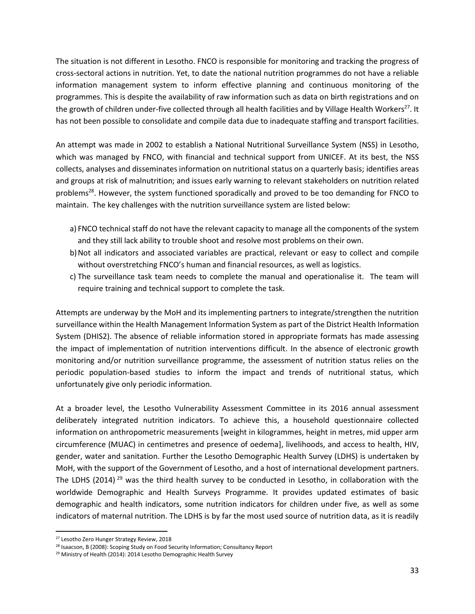The situation is not different in Lesotho. FNCO is responsible for monitoring and tracking the progress of cross-sectoral actions in nutrition. Yet, to date the national nutrition programmes do not have a reliable information management system to inform effective planning and continuous monitoring of the programmes. This is despite the availability of raw information such as data on birth registrations and on the growth of children under-five collected through all health facilities and by Village Health Workers<sup>27</sup>. It has not been possible to consolidate and compile data due to inadequate staffing and transport facilities.

An attempt was made in 2002 to establish a National Nutritional Surveillance System (NSS) in Lesotho, which was managed by FNCO, with financial and technical support from UNICEF. At its best, the NSS collects, analyses and disseminates information on nutritional status on a quarterly basis; identifies areas and groups at risk of malnutrition; and issues early warning to relevant stakeholders on nutrition related problems<sup>28</sup>. However, the system functioned sporadically and proved to be too demanding for FNCO to maintain. The key challenges with the nutrition surveillance system are listed below:

- a) FNCO technical staff do not have the relevant capacity to manage all the components of the system and they still lack ability to trouble shoot and resolve most problems on their own.
- b)Not all indicators and associated variables are practical, relevant or easy to collect and compile without overstretching FNCO's human and financial resources, as well as logistics.
- c) The surveillance task team needs to complete the manual and operationalise it. The team will require training and technical support to complete the task.

Attempts are underway by the MoH and its implementing partners to integrate/strengthen the nutrition surveillance within the Health Management Information System as part of the District Health Information System (DHIS2). The absence of reliable information stored in appropriate formats has made assessing the impact of implementation of nutrition interventions difficult. In the absence of electronic growth monitoring and/or nutrition surveillance programme, the assessment of nutrition status relies on the periodic population-based studies to inform the impact and trends of nutritional status, which unfortunately give only periodic information.

At a broader level, the Lesotho Vulnerability Assessment Committee in its 2016 annual assessment deliberately integrated nutrition indicators. To achieve this, a household questionnaire collected information on anthropometric measurements [weight in kilogrammes, height in metres, mid upper arm circumference (MUAC) in centimetres and presence of oedema], livelihoods, and access to health, HIV, gender, water and sanitation. Further the Lesotho Demographic Health Survey (LDHS) is undertaken by MoH, with the support of the Government of Lesotho, and a host of international development partners. The LDHS (2014)<sup>29</sup> was the third health survey to be conducted in Lesotho, in collaboration with the worldwide Demographic and Health Surveys Programme. It provides updated estimates of basic demographic and health indicators, some nutrition indicators for children under five, as well as some indicators of maternal nutrition. The LDHS is by far the most used source of nutrition data, as it is readily

 $\overline{\phantom{a}}$ 

<sup>&</sup>lt;sup>27</sup> Lesotho Zero Hunger Strategy Review, 2018

<sup>&</sup>lt;sup>28</sup> Isaacson, B (2008): Scoping Study on Food Security Information; Consultancy Report

<sup>&</sup>lt;sup>29</sup> Ministry of Health (2014): 2014 Lesotho Demographic Health Survey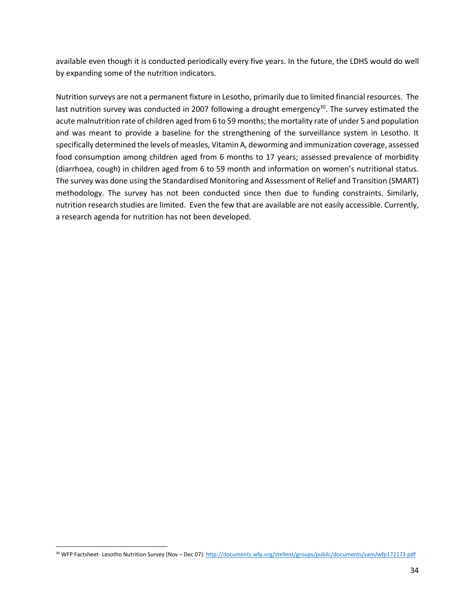available even though it is conducted periodically every five years. In the future, the LDHS would do well by expanding some of the nutrition indicators.

Nutrition surveys are not a permanent fixture in Lesotho, primarily due to limited financial resources. The last nutrition survey was conducted in 2007 following a drought emergency<sup>30</sup>. The survey estimated the acute malnutrition rate of children aged from 6 to 59 months; the mortality rate of under 5 and population and was meant to provide a baseline for the strengthening of the surveillance system in Lesotho. It specifically determined the levels of measles, Vitamin A, deworming and immunization coverage, assessed food consumption among children aged from 6 months to 17 years; assessed prevalence of morbidity (diarrhoea, cough) in children aged from 6 to 59 month and information on women's nutritional status. The survey was done using the Standardised Monitoring and Assessment of Relief and Transition (SMART) methodology. The survey has not been conducted since then due to funding constraints. Similarly, nutrition research studies are limited. Even the few that are available are not easily accessible. Currently, a research agenda for nutrition has not been developed.

 $\overline{\phantom{a}}$ 

<sup>30</sup> WFP Factsheet- Lesotho Nutrition Survey (Nov – Dec 07)[: http://documents.wfp.org/stellent/groups/public/documents/vam/wfp172173.pdf](http://documents.wfp.org/stellent/groups/public/documents/vam/wfp172173.pdf)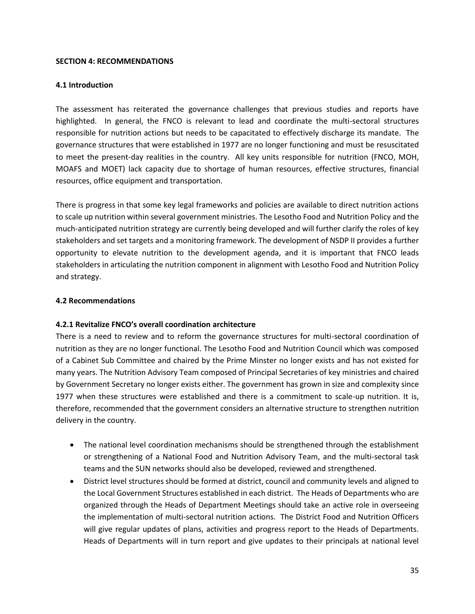## <span id="page-31-0"></span>**SECTION 4: RECOMMENDATIONS**

## <span id="page-31-1"></span>**4.1 Introduction**

The assessment has reiterated the governance challenges that previous studies and reports have highlighted. In general, the FNCO is relevant to lead and coordinate the multi-sectoral structures responsible for nutrition actions but needs to be capacitated to effectively discharge its mandate. The governance structures that were established in 1977 are no longer functioning and must be resuscitated to meet the present-day realities in the country. All key units responsible for nutrition (FNCO, MOH, MOAFS and MOET) lack capacity due to shortage of human resources, effective structures, financial resources, office equipment and transportation.

There is progress in that some key legal frameworks and policies are available to direct nutrition actions to scale up nutrition within several government ministries. The Lesotho Food and Nutrition Policy and the much-anticipated nutrition strategy are currently being developed and will further clarify the roles of key stakeholders and set targets and a monitoring framework. The development of NSDP II provides a further opportunity to elevate nutrition to the development agenda, and it is important that FNCO leads stakeholders in articulating the nutrition component in alignment with Lesotho Food and Nutrition Policy and strategy.

## <span id="page-31-2"></span>**4.2 Recommendations**

## <span id="page-31-3"></span>**4.2.1 Revitalize FNCO's overall coordination architecture**

There is a need to review and to reform the governance structures for multi-sectoral coordination of nutrition as they are no longer functional. The Lesotho Food and Nutrition Council which was composed of a Cabinet Sub Committee and chaired by the Prime Minster no longer exists and has not existed for many years. The Nutrition Advisory Team composed of Principal Secretaries of key ministries and chaired by Government Secretary no longer exists either. The government has grown in size and complexity since 1977 when these structures were established and there is a commitment to scale-up nutrition. It is, therefore, recommended that the government considers an alternative structure to strengthen nutrition delivery in the country.

- The national level coordination mechanisms should be strengthened through the establishment or strengthening of a National Food and Nutrition Advisory Team, and the multi-sectoral task teams and the SUN networks should also be developed, reviewed and strengthened.
- District level structures should be formed at district, council and community levels and aligned to the Local Government Structures established in each district. The Heads of Departments who are organized through the Heads of Department Meetings should take an active role in overseeing the implementation of multi-sectoral nutrition actions. The District Food and Nutrition Officers will give regular updates of plans, activities and progress report to the Heads of Departments. Heads of Departments will in turn report and give updates to their principals at national level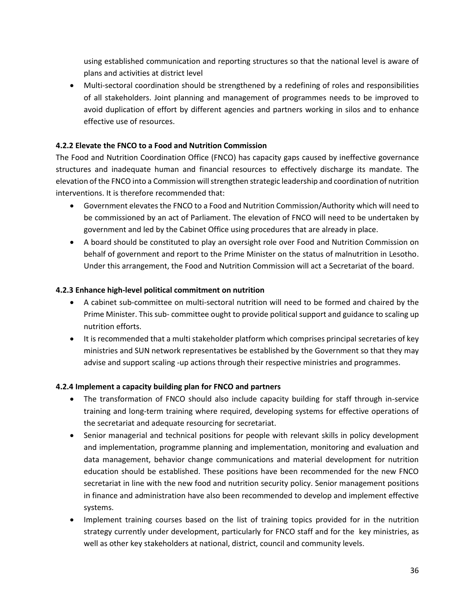using established communication and reporting structures so that the national level is aware of plans and activities at district level

• Multi-sectoral coordination should be strengthened by a redefining of roles and responsibilities of all stakeholders. Joint planning and management of programmes needs to be improved to avoid duplication of effort by different agencies and partners working in silos and to enhance effective use of resources.

# <span id="page-32-0"></span>**4.2.2 Elevate the FNCO to a Food and Nutrition Commission**

The Food and Nutrition Coordination Office (FNCO) has capacity gaps caused by ineffective governance structures and inadequate human and financial resources to effectively discharge its mandate. The elevation of the FNCO into a Commission willstrengthen strategic leadership and coordination of nutrition interventions. It is therefore recommended that:

- Government elevates the FNCO to a Food and Nutrition Commission/Authority which will need to be commissioned by an act of Parliament. The elevation of FNCO will need to be undertaken by government and led by the Cabinet Office using procedures that are already in place.
- A board should be constituted to play an oversight role over Food and Nutrition Commission on behalf of government and report to the Prime Minister on the status of malnutrition in Lesotho. Under this arrangement, the Food and Nutrition Commission will act a Secretariat of the board.

# <span id="page-32-1"></span>**4.2.3 Enhance high-level political commitment on nutrition**

- A cabinet sub-committee on multi-sectoral nutrition will need to be formed and chaired by the Prime Minister. This sub- committee ought to provide political support and guidance to scaling up nutrition efforts.
- It is recommended that a multi stakeholder platform which comprises principal secretaries of key ministries and SUN network representatives be established by the Government so that they may advise and support scaling -up actions through their respective ministries and programmes.

# <span id="page-32-2"></span>**4.2.4 Implement a capacity building plan for FNCO and partners**

- The transformation of FNCO should also include capacity building for staff through in-service training and long-term training where required, developing systems for effective operations of the secretariat and adequate resourcing for secretariat.
- Senior managerial and technical positions for people with relevant skills in policy development and implementation, programme planning and implementation, monitoring and evaluation and data management, behavior change communications and material development for nutrition education should be established. These positions have been recommended for the new FNCO secretariat in line with the new food and nutrition security policy. Senior management positions in finance and administration have also been recommended to develop and implement effective systems.
- Implement training courses based on the list of training topics provided for in the nutrition strategy currently under development, particularly for FNCO staff and for the key ministries, as well as other key stakeholders at national, district, council and community levels.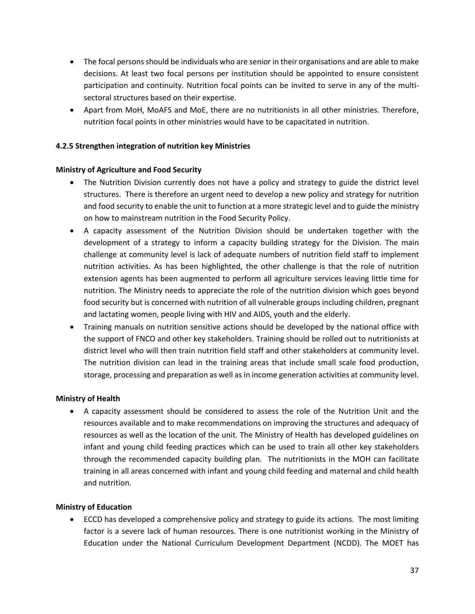- The focal persons should be individuals who are senior in their organisations and are able to make decisions. At least two focal persons per institution should be appointed to ensure consistent participation and continuity. Nutrition focal points can be invited to serve in any of the multisectoral structures based on their expertise.
- Apart from MoH, MoAFS and MoE, there are no nutritionists in all other ministries. Therefore, nutrition focal points in other ministries would have to be capacitated in nutrition.

## <span id="page-33-0"></span>**4.2.5 Strengthen integration of nutrition key Ministries**

## **Ministry of Agriculture and Food Security**

- The Nutrition Division currently does not have a policy and strategy to guide the district level structures. There is therefore an urgent need to develop a new policy and strategy for nutrition and food security to enable the unit to function at a more strategic level and to guide the ministry on how to mainstream nutrition in the Food Security Policy.
- A capacity assessment of the Nutrition Division should be undertaken together with the development of a strategy to inform a capacity building strategy for the Division. The main challenge at community level is lack of adequate numbers of nutrition field staff to implement nutrition activities. As has been highlighted, the other challenge is that the role of nutrition extension agents has been augmented to perform all agriculture services leaving little time for nutrition. The Ministry needs to appreciate the role of the nutrition division which goes beyond food security but is concerned with nutrition of all vulnerable groups including children, pregnant and lactating women, people living with HIV and AIDS, youth and the elderly.
- Training manuals on nutrition sensitive actions should be developed by the national office with the support of FNCO and other key stakeholders. Training should be rolled out to nutritionists at district level who will then train nutrition field staff and other stakeholders at community level. The nutrition division can lead in the training areas that include small scale food production, storage, processing and preparation as well as in income generation activities at community level.

## **Ministry of Health**

• A capacity assessment should be considered to assess the role of the Nutrition Unit and the resources available and to make recommendations on improving the structures and adequacy of resources as well as the location of the unit. The Ministry of Health has developed guidelines on infant and young child feeding practices which can be used to train all other key stakeholders through the recommended capacity building plan. The nutritionists in the MOH can facilitate training in all areas concerned with infant and young child feeding and maternal and child health and nutrition.

# **Ministry of Education**

• ECCD has developed a comprehensive policy and strategy to guide its actions. The most limiting factor is a severe lack of human resources. There is one nutritionist working in the Ministry of Education under the National Curriculum Development Department (NCDD). The MOET has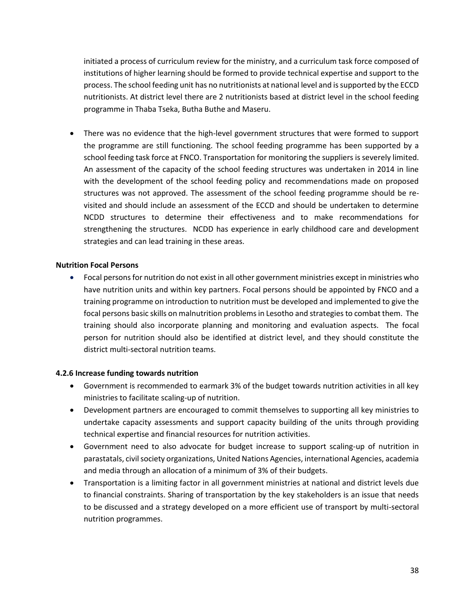initiated a process of curriculum review for the ministry, and a curriculum task force composed of institutions of higher learning should be formed to provide technical expertise and support to the process. The school feeding unit has no nutritionists at national level and is supported by the ECCD nutritionists. At district level there are 2 nutritionists based at district level in the school feeding programme in Thaba Tseka, Butha Buthe and Maseru.

• There was no evidence that the high-level government structures that were formed to support the programme are still functioning. The school feeding programme has been supported by a school feeding task force at FNCO. Transportation for monitoring the suppliers is severely limited. An assessment of the capacity of the school feeding structures was undertaken in 2014 in line with the development of the school feeding policy and recommendations made on proposed structures was not approved. The assessment of the school feeding programme should be revisited and should include an assessment of the ECCD and should be undertaken to determine NCDD structures to determine their effectiveness and to make recommendations for strengthening the structures. NCDD has experience in early childhood care and development strategies and can lead training in these areas.

#### **Nutrition Focal Persons**

• Focal persons for nutrition do not exist in all other government ministries except in ministries who have nutrition units and within key partners. Focal persons should be appointed by FNCO and a training programme on introduction to nutrition must be developed and implemented to give the focal persons basic skills on malnutrition problems in Lesotho and strategies to combat them. The training should also incorporate planning and monitoring and evaluation aspects. The focal person for nutrition should also be identified at district level, and they should constitute the district multi-sectoral nutrition teams.

#### <span id="page-34-0"></span>**4.2.6 Increase funding towards nutrition**

- Government is recommended to earmark 3% of the budget towards nutrition activities in all key ministries to facilitate scaling-up of nutrition.
- Development partners are encouraged to commit themselves to supporting all key ministries to undertake capacity assessments and support capacity building of the units through providing technical expertise and financial resources for nutrition activities.
- Government need to also advocate for budget increase to support scaling-up of nutrition in parastatals, civil society organizations, United Nations Agencies, international Agencies, academia and media through an allocation of a minimum of 3% of their budgets.
- Transportation is a limiting factor in all government ministries at national and district levels due to financial constraints. Sharing of transportation by the key stakeholders is an issue that needs to be discussed and a strategy developed on a more efficient use of transport by multi-sectoral nutrition programmes.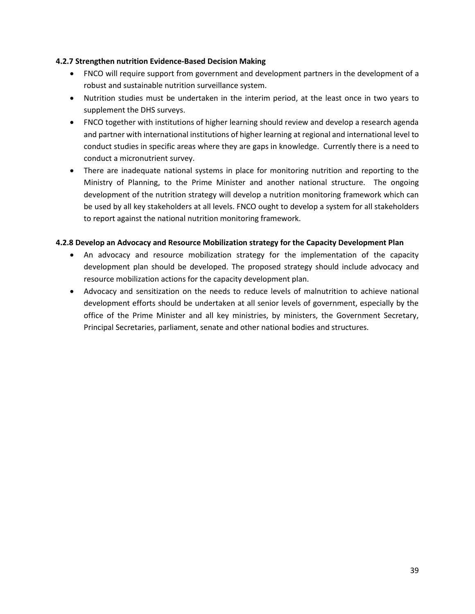## <span id="page-35-0"></span>**4.2.7 Strengthen nutrition Evidence-Based Decision Making**

- FNCO will require support from government and development partners in the development of a robust and sustainable nutrition surveillance system.
- Nutrition studies must be undertaken in the interim period, at the least once in two years to supplement the DHS surveys.
- FNCO together with institutions of higher learning should review and develop a research agenda and partner with international institutions of higher learning at regional and international level to conduct studies in specific areas where they are gaps in knowledge. Currently there is a need to conduct a micronutrient survey.
- There are inadequate national systems in place for monitoring nutrition and reporting to the Ministry of Planning, to the Prime Minister and another national structure. The ongoing development of the nutrition strategy will develop a nutrition monitoring framework which can be used by all key stakeholders at all levels. FNCO ought to develop a system for all stakeholders to report against the national nutrition monitoring framework.

## <span id="page-35-1"></span>**4.2.8 Develop an Advocacy and Resource Mobilization strategy for the Capacity Development Plan**

- An advocacy and resource mobilization strategy for the implementation of the capacity development plan should be developed. The proposed strategy should include advocacy and resource mobilization actions for the capacity development plan.
- Advocacy and sensitization on the needs to reduce levels of malnutrition to achieve national development efforts should be undertaken at all senior levels of government, especially by the office of the Prime Minister and all key ministries, by ministers, the Government Secretary, Principal Secretaries, parliament, senate and other national bodies and structures.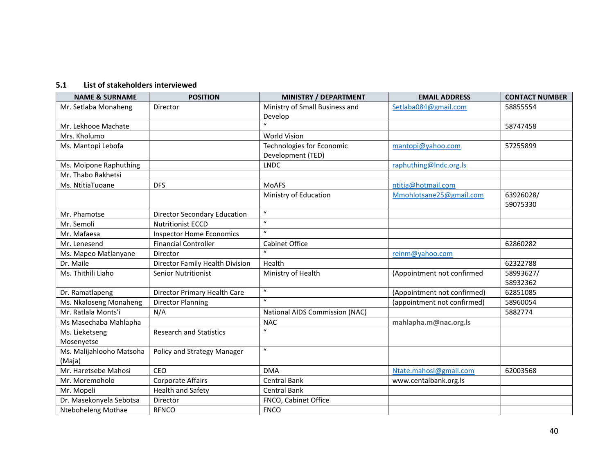## **5.1 List of stakeholders interviewed**

<span id="page-36-0"></span>

| <b>NAME &amp; SURNAME</b> | <b>POSITION</b>                     | <b>MINISTRY / DEPARTMENT</b>   | <b>EMAIL ADDRESS</b>        | <b>CONTACT NUMBER</b> |
|---------------------------|-------------------------------------|--------------------------------|-----------------------------|-----------------------|
| Mr. Setlaba Monaheng      | Director                            | Ministry of Small Business and | Setlaba084@gmail.com        | 58855554              |
|                           |                                     | Develop                        |                             |                       |
| Mr. Lekhooe Machate       |                                     | $\mathbf{u}$                   |                             | 58747458              |
| Mrs. Kholumo              |                                     | <b>World Vision</b>            |                             |                       |
| Ms. Mantopi Lebofa        |                                     | Technologies for Economic      | mantopi@yahoo.com           | 57255899              |
|                           |                                     | Development (TED)              |                             |                       |
| Ms. Moipone Raphuthing    |                                     | <b>LNDC</b>                    | raphuthing@Indc.org.ls      |                       |
| Mr. Thabo Rakhetsi        |                                     |                                |                             |                       |
| Ms. NtitiaTuoane          | <b>DFS</b>                          | <b>MoAFS</b>                   | ntitia@hotmail.com          |                       |
|                           |                                     | Ministry of Education          | Mmohlotsane25@gmail.com     | 63926028/             |
|                           |                                     |                                |                             | 59075330              |
| Mr. Phamotse              | <b>Director Secondary Education</b> | $\boldsymbol{u}$               |                             |                       |
| Mr. Semoli                | <b>Nutritionist ECCD</b>            | $\boldsymbol{u}$               |                             |                       |
| Mr. Mafaesa               | <b>Inspector Home Economics</b>     | $\boldsymbol{u}$               |                             |                       |
| Mr. Lenesend              | <b>Financial Controller</b>         | <b>Cabinet Office</b>          |                             | 62860282              |
| Ms. Mapeo Matlanyane      | Director                            | $\boldsymbol{u}$               | reinm@yahoo.com             |                       |
| Dr. Maile                 | Director Family Health Division     | Health                         |                             | 62322788              |
| Ms. Thithili Liaho        | <b>Senior Nutritionist</b>          | Ministry of Health             | (Appointment not confirmed  | 58993627/             |
|                           |                                     |                                |                             | 58932362              |
| Dr. Ramatlapeng           | Director Primary Health Care        | $\boldsymbol{\mathcal{U}}$     | (Appointment not confirmed) | 62851085              |
| Ms. Nkaloseng Monaheng    | <b>Director Planning</b>            | $\mathbf{u}$                   | (appointment not confirmed) | 58960054              |
| Mr. Ratlala Monts'i       | N/A                                 | National AIDS Commission (NAC) |                             | 5882774               |
| Ms Masechaba Mahlapha     |                                     | <b>NAC</b>                     | mahlapha.m@nac.org.ls       |                       |
| Ms. Lieketseng            | <b>Research and Statistics</b>      | $\boldsymbol{u}$               |                             |                       |
| Mosenyetse                |                                     |                                |                             |                       |
| Ms. Malijahlooho Matsoha  | Policy and Strategy Manager         | $\boldsymbol{u}$               |                             |                       |
| (Maja)                    |                                     |                                |                             |                       |
| Mr. Haretsebe Mahosi      | CEO                                 | <b>DMA</b>                     | Ntate.mahosi@gmail.com      | 62003568              |
| Mr. Moremoholo            | <b>Corporate Affairs</b>            | <b>Central Bank</b>            | www.centalbank.org.ls       |                       |
| Mr. Mopeli                | <b>Health and Safety</b>            | Central Bank                   |                             |                       |
| Dr. Masekonyela Sebotsa   | Director                            | FNCO, Cabinet Office           |                             |                       |
| Nteboheleng Mothae        | <b>RFNCO</b>                        | <b>FNCO</b>                    |                             |                       |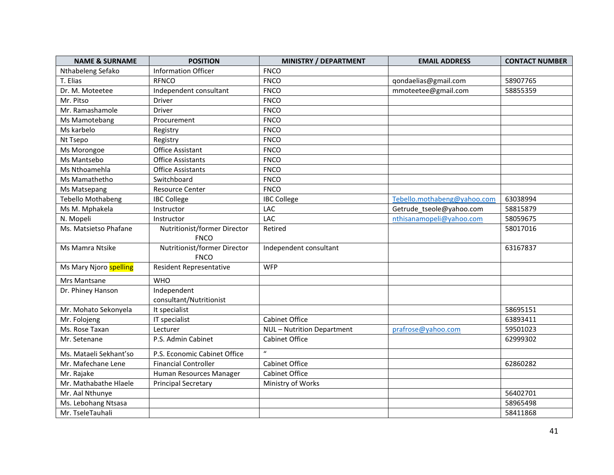| <b>NAME &amp; SURNAME</b> | <b>POSITION</b>                             | <b>MINISTRY / DEPARTMENT</b> | <b>EMAIL ADDRESS</b>        | <b>CONTACT NUMBER</b> |
|---------------------------|---------------------------------------------|------------------------------|-----------------------------|-----------------------|
| Nthabeleng Sefako         | <b>Information Officer</b>                  | <b>FNCO</b>                  |                             |                       |
| T. Elias                  | <b>RFNCO</b>                                | <b>FNCO</b>                  | qondaelias@gmail.com        | 58907765              |
| Dr. M. Moteetee           | Independent consultant                      | <b>FNCO</b>                  | mmoteetee@gmail.com         | 58855359              |
| Mr. Pitso                 | Driver                                      | <b>FNCO</b>                  |                             |                       |
| Mr. Ramashamole           | <b>Driver</b>                               | <b>FNCO</b>                  |                             |                       |
| Ms Mamotebang             | Procurement                                 | <b>FNCO</b>                  |                             |                       |
| Ms karbelo                | Registry                                    | <b>FNCO</b>                  |                             |                       |
| Nt Tsepo                  | Registry                                    | <b>FNCO</b>                  |                             |                       |
| Ms Morongoe               | Office Assistant                            | <b>FNCO</b>                  |                             |                       |
| Ms Mantsebo               | <b>Office Assistants</b>                    | <b>FNCO</b>                  |                             |                       |
| Ms Nthoamehla             | <b>Office Assistants</b>                    | <b>FNCO</b>                  |                             |                       |
| Ms Mamathetho             | Switchboard                                 | <b>FNCO</b>                  |                             |                       |
| Ms Matsepang              | <b>Resource Center</b>                      | <b>FNCO</b>                  |                             |                       |
| <b>Tebello Mothabeng</b>  | <b>IBC College</b>                          | <b>IBC College</b>           | Tebello.mothabeng@yahoo.com | 63038994              |
| Ms M. Mphakela            | Instructor                                  | LAC                          | Getrude_tseole@yahoo.com    | 58815879              |
| N. Mopeli                 | Instructor                                  | LAC                          | nthisanamopeli@yahoo.com    | 58059675              |
| Ms. Matsietso Phafane     | Nutritionist/former Director<br><b>FNCO</b> | Retired                      |                             | 58017016              |
| Ms Mamra Ntsike           | Nutritionist/former Director<br><b>FNCO</b> | Independent consultant       |                             | 63167837              |
| Ms Mary Njoro spelling    | Resident Representative                     | <b>WFP</b>                   |                             |                       |
| <b>Mrs Mantsane</b>       | <b>WHO</b>                                  |                              |                             |                       |
| Dr. Phiney Hanson         | Independent                                 |                              |                             |                       |
|                           | consultant/Nutritionist                     |                              |                             |                       |
| Mr. Mohato Sekonyela      | It specialist                               |                              |                             | 58695151              |
| Mr. Folojeng              | IT specialist                               | <b>Cabinet Office</b>        |                             | 63893411              |
| Ms. Rose Taxan            | Lecturer                                    | NUL - Nutrition Department   | prafrose@yahoo.com          | 59501023              |
| Mr. Setenane              | P.S. Admin Cabinet                          | <b>Cabinet Office</b>        |                             | 62999302              |
| Ms. Mataeli Sekhant'so    | P.S. Economic Cabinet Office                | $\boldsymbol{u}$             |                             |                       |
| Mr. Mafechane Lene        | <b>Financial Controller</b>                 | <b>Cabinet Office</b>        |                             | 62860282              |
| Mr. Rajake                | Human Resources Manager                     | <b>Cabinet Office</b>        |                             |                       |
| Mr. Mathabathe Hlaele     | <b>Principal Secretary</b>                  | Ministry of Works            |                             |                       |
| Mr. Aal Nthunye           |                                             |                              |                             | 56402701              |
| Ms. Lebohang Ntsasa       |                                             |                              |                             | 58965498              |
| Mr. TseleTauhali          |                                             |                              |                             | 58411868              |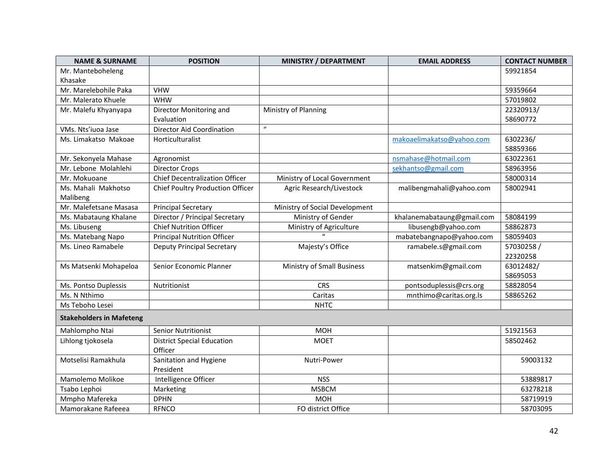| <b>NAME &amp; SURNAME</b>       | <b>POSITION</b>                         | <b>MINISTRY / DEPARTMENT</b>   | <b>EMAIL ADDRESS</b>       | <b>CONTACT NUMBER</b> |
|---------------------------------|-----------------------------------------|--------------------------------|----------------------------|-----------------------|
| Mr. Manteboheleng               |                                         |                                |                            | 59921854              |
| Khasake                         |                                         |                                |                            |                       |
| Mr. Marelebohile Paka           | <b>VHW</b>                              |                                |                            | 59359664              |
| Mr. Malerato Khuele             | <b>WHW</b>                              |                                |                            | 57019802              |
| Mr. Malefu Khyanyapa            | Director Monitoring and                 | Ministry of Planning           |                            | 22320913/             |
|                                 | Evaluation                              |                                |                            | 58690772              |
| VMs. Nts'iuoa Jase              | <b>Director Aid Coordination</b>        | $\boldsymbol{u}$               |                            |                       |
| Ms. Limakatso Makoae            | Horticulturalist                        |                                | makoaelimakatso@yahoo.com  | 6302236/              |
|                                 |                                         |                                |                            | 58859366              |
| Mr. Sekonyela Mahase            | Agronomist                              |                                | nsmahase@hotmail.com       | 63022361              |
| Mr. Lebone Molahlehi            | <b>Director Crops</b>                   |                                | sekhantso@gmail.com        | 58963956              |
| Mr. Mokuoane                    | <b>Chief Decentralization Officer</b>   | Ministry of Local Government   |                            | 58000314              |
| Ms. Mahali Makhotso             | <b>Chief Poultry Production Officer</b> | Agric Research/Livestock       | malibengmahali@yahoo.com   | 58002941              |
| Malibeng                        |                                         |                                |                            |                       |
| Mr. Malefetsane Masasa          | <b>Principal Secretary</b>              | Ministry of Social Development |                            |                       |
| Ms. Mabataung Khalane           | Director / Principal Secretary          | Ministry of Gender             | khalanemabataung@gmail.com | 58084199              |
| Ms. Libuseng                    | <b>Chief Nutrition Officer</b>          | Ministry of Agriculture        | libusengb@yahoo.com        | 58862873              |
| Ms. Matebang Napo               | <b>Principal Nutrition Officer</b>      |                                | mabatebangnapo@yahoo.com   | 58059403              |
| Ms. Lineo Ramabele              | <b>Deputy Principal Secretary</b>       | Majesty's Office               | ramabele.s@gmail.com       | 57030258/             |
|                                 |                                         |                                |                            | 22320258              |
| Ms Matsenki Mohapeloa           | Senior Economic Planner                 | Ministry of Small Business     | matsenkim@gmail.com        | 63012482/             |
|                                 |                                         |                                |                            | 58695053              |
| Ms. Pontso Duplessis            | Nutritionist                            | <b>CRS</b>                     | pontsoduplessis@crs.org    | 58828054              |
| Ms. N Nthimo                    |                                         | Caritas                        | mnthimo@caritas.org.ls     | 58865262              |
| Ms Teboho Lesei                 |                                         | <b>NHTC</b>                    |                            |                       |
| <b>Stakeholders in Mafeteng</b> |                                         |                                |                            |                       |
| Mahlompho Ntai                  | <b>Senior Nutritionist</b>              | <b>MOH</b>                     |                            | 51921563              |
| Lihlong tjokosela               | <b>District Special Education</b>       | <b>MOET</b>                    |                            | 58502462              |
|                                 | Officer                                 |                                |                            |                       |
| Motselisi Ramakhula             | Sanitation and Hygiene                  | Nutri-Power                    |                            | 59003132              |
|                                 | President                               |                                |                            |                       |
| Mamolemo Molikoe                | Intelligence Officer                    | <b>NSS</b>                     |                            | 53889817              |
| Tsabo Lephoi                    | Marketing                               | <b>MSBCM</b>                   |                            | 63278218              |
| Mmpho Mafereka                  | <b>DPHN</b>                             | <b>MOH</b>                     |                            | 58719919              |
| Mamorakane Rafeeea              | <b>RFNCO</b>                            | FO district Office             |                            | 58703095              |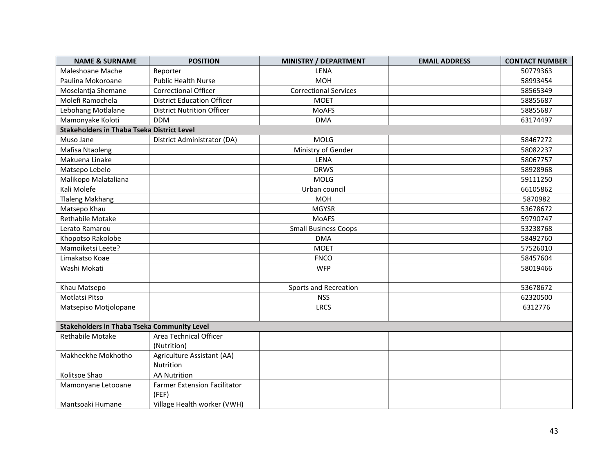| <b>NAME &amp; SURNAME</b>                          | <b>POSITION</b>                     | <b>MINISTRY / DEPARTMENT</b> | <b>EMAIL ADDRESS</b> | <b>CONTACT NUMBER</b> |  |  |  |
|----------------------------------------------------|-------------------------------------|------------------------------|----------------------|-----------------------|--|--|--|
| Maleshoane Mache                                   | Reporter                            | <b>LENA</b>                  |                      | 50779363              |  |  |  |
| Paulina Mokoroane                                  | <b>Public Health Nurse</b>          | <b>MOH</b>                   |                      | 58993454              |  |  |  |
| Moselantja Shemane                                 | <b>Correctional Officer</b>         | <b>Correctional Services</b> |                      | 58565349              |  |  |  |
| Molefi Ramochela                                   | <b>District Education Officer</b>   | <b>MOET</b>                  |                      | 58855687              |  |  |  |
| Lebohang Motlalane                                 | <b>District Nutrition Officer</b>   | <b>MoAFS</b>                 |                      | 58855687              |  |  |  |
| Mamonyake Koloti                                   | <b>DDM</b>                          | <b>DMA</b>                   |                      | 63174497              |  |  |  |
| <b>Stakeholders in Thaba Tseka District Level</b>  |                                     |                              |                      |                       |  |  |  |
| Muso Jane                                          | District Administrator (DA)         | <b>MOLG</b>                  |                      | 58467272              |  |  |  |
| Mafisa Ntaoleng                                    |                                     | Ministry of Gender           |                      | 58082237              |  |  |  |
| Makuena Linake                                     |                                     | LENA                         |                      | 58067757              |  |  |  |
| Matsepo Lebelo                                     |                                     | <b>DRWS</b>                  |                      | 58928968              |  |  |  |
| Malikopo Malataliana                               |                                     | <b>MOLG</b>                  |                      | 59111250              |  |  |  |
| Kali Molefe                                        |                                     | Urban council                |                      | 66105862              |  |  |  |
| <b>Tlaleng Makhang</b>                             |                                     | <b>MOH</b>                   |                      | 5870982               |  |  |  |
| Matsepo Khau                                       |                                     | <b>MGYSR</b>                 |                      | 53678672              |  |  |  |
| Rethabile Motake                                   |                                     | <b>MoAFS</b>                 |                      | 59790747              |  |  |  |
| Lerato Ramarou                                     |                                     | <b>Small Business Coops</b>  |                      | 53238768              |  |  |  |
| Khopotso Rakolobe                                  |                                     | <b>DMA</b>                   |                      | 58492760              |  |  |  |
| Mamoiketsi Leete?                                  |                                     | <b>MOET</b>                  |                      | 57526010              |  |  |  |
| Limakatso Koae                                     |                                     | <b>FNCO</b>                  |                      | 58457604              |  |  |  |
| Washi Mokati                                       |                                     | <b>WFP</b>                   |                      | 58019466              |  |  |  |
| Khau Matsepo                                       |                                     | Sports and Recreation        |                      | 53678672              |  |  |  |
| Motlatsi Pitso                                     |                                     | <b>NSS</b>                   |                      | 62320500              |  |  |  |
| Matsepiso Motjolopane                              |                                     | <b>LRCS</b>                  |                      | 6312776               |  |  |  |
| <b>Stakeholders in Thaba Tseka Community Level</b> |                                     |                              |                      |                       |  |  |  |
| Rethabile Motake                                   | Area Technical Officer              |                              |                      |                       |  |  |  |
|                                                    | (Nutrition)                         |                              |                      |                       |  |  |  |
| Makheekhe Mokhotho                                 | Agriculture Assistant (AA)          |                              |                      |                       |  |  |  |
|                                                    | Nutrition                           |                              |                      |                       |  |  |  |
| Kolitsoe Shao                                      | <b>AA Nutrition</b>                 |                              |                      |                       |  |  |  |
| Mamonyane Letooane                                 | <b>Farmer Extension Facilitator</b> |                              |                      |                       |  |  |  |
|                                                    | (FEF)                               |                              |                      |                       |  |  |  |
| Mantsoaki Humane                                   | Village Health worker (VWH)         |                              |                      |                       |  |  |  |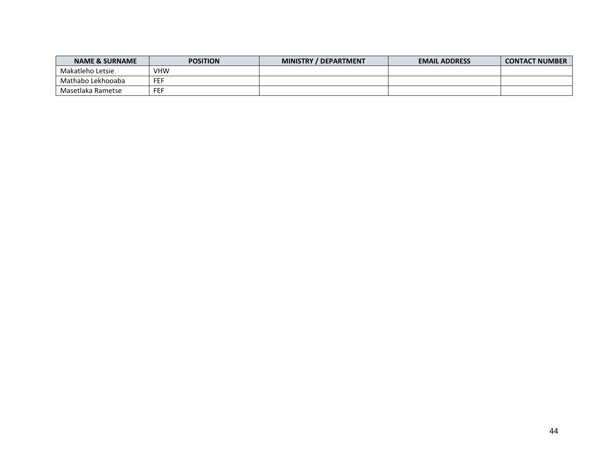| <b>NAME &amp; SURNAME</b> | <b>POSITION</b>   | <b>MINISTRY</b><br>/ DEPARTMENT | <b>EMAIL ADDRESS</b> | <b>CONTACT NUMBER</b> |
|---------------------------|-------------------|---------------------------------|----------------------|-----------------------|
| Makatleho Letsie          | VHW               |                                 |                      |                       |
| Mathabo Lekhooaba         | ---<br><b>⊢⊢⊦</b> |                                 |                      |                       |
| Masetlaka Rametse         | ---<br>---        |                                 |                      |                       |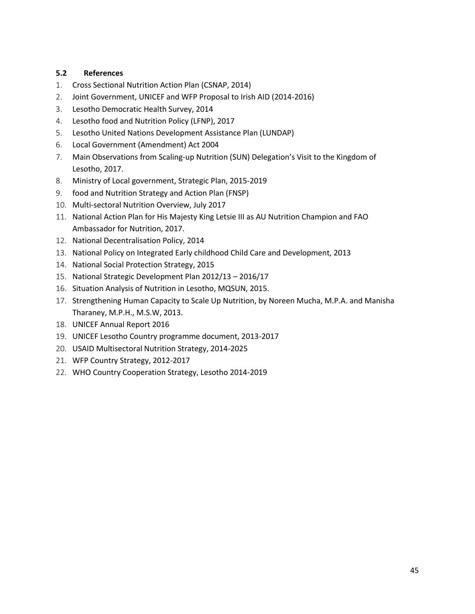## <span id="page-41-0"></span>**5.2 References**

- 1. Cross Sectional Nutrition Action Plan (CSNAP, 2014)
- 2. Joint Government, UNICEF and WFP Proposal to Irish AID (2014-2016)
- 3. Lesotho Democratic Health Survey, 2014
- 4. Lesotho food and Nutrition Policy (LFNP), 2017
- 5. Lesotho United Nations Development Assistance Plan (LUNDAP)
- 6. Local Government (Amendment) Act 2004
- 7. Main Observations from Scaling-up Nutrition (SUN) Delegation's Visit to the Kingdom of Lesotho, 2017.
- 8. Ministry of Local government, Strategic Plan, 2015-2019
- 9. food and Nutrition Strategy and Action Plan (FNSP)
- 10. Multi-sectoral Nutrition Overview, July 2017
- 11. National Action Plan for His Majesty King Letsie III as AU Nutrition Champion and FAO Ambassador for Nutrition, 2017.
- 12. National Decentralisation Policy, 2014
- 13. National Policy on Integrated Early childhood Child Care and Development, 2013
- 14. [National Social Protection Strategy,](http://www.developmentpathways.co.uk/resources/wp-content/uploads/2015/02/Lesotho-National-Social-Protection-Strategy-v8-260514-with-Foreword1.pdf) 2015
- 15. National Strategic Development Plan 2012/13 2016/17
- 16. Situation Analysis of Nutrition in Lesotho, MQSUN, 2015.
- 17. Strengthening Human Capacity to Scale Up Nutrition, by Noreen Mucha, M.P.A. and Manisha Tharaney, M.P.H., M.S.W, 2013.
- 18. UNICEF Annual Report 2016
- 19. UNICEF Lesotho Country programme document, 2013-2017
- 20. USAID Multisectoral Nutrition Strategy, 2014-2025
- 21. WFP Country Strategy, 2012-2017
- 22. WHO Country Cooperation Strategy, Lesotho 2014-2019